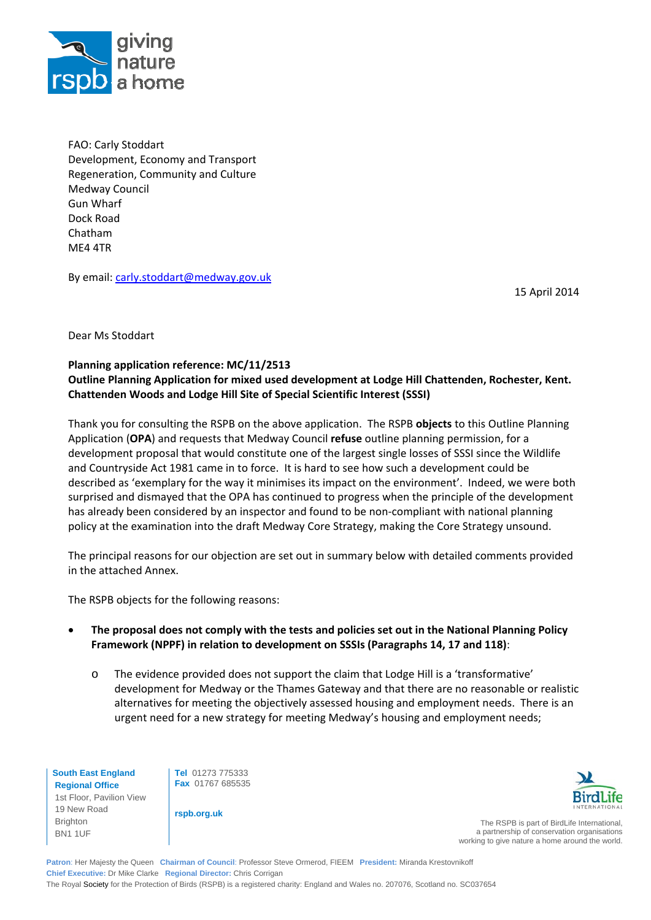

FAO: Carly Stoddart Development, Economy and Transport Regeneration, Community and Culture Medway Council Gun Wharf Dock Road Chatham ME4 4TR

By email: carly.stoddart@medway.gov.uk

15 April 2014

Dear Ms Stoddart

## **Planning application reference: MC/11/2513 Outline Planning Application for mixed used development at Lodge Hill Chattenden, Rochester, Kent. Chattenden Woods and Lodge Hill Site of Special Scientific Interest (SSSI)**

Thank you for consulting the RSPB on the above application. The RSPB **objects** to this Outline Planning Application (**OPA**) and requests that Medway Council **refuse** outline planning permission, for a development proposal that would constitute one of the largest single losses of SSSI since the Wildlife and Countryside Act 1981 came in to force. It is hard to see how such a development could be described as 'exemplary for the way it minimises its impact on the environment'. Indeed, we were both surprised and dismayed that the OPA has continued to progress when the principle of the development has already been considered by an inspector and found to be non-compliant with national planning policy at the examination into the draft Medway Core Strategy, making the Core Strategy unsound.

The principal reasons for our objection are set out in summary below with detailed comments provided in the attached Annex.

The RSPB objects for the following reasons:

- **The proposal does not comply with the tests and policies set out in the National Planning Policy Framework (NPPF) in relation to development on SSSIs (Paragraphs 14, 17 and 118)**:
	- o The evidence provided does not support the claim that Lodge Hill is a 'transformative' development for Medway or the Thames Gateway and that there are no reasonable or realistic alternatives for meeting the objectively assessed housing and employment needs. There is an urgent need for a new strategy for meeting Medway's housing and employment needs;

**South East England Regional Office**  1st Floor, Pavilion View 19 New Road Brighton BN1 1UF

**Tel** 01273 775333 **Fax** 01767 685535

**rspb.org.uk** 



The RSPB is part of BirdLife International a partnership of conservation organisations working to give nature a home around the world.

**Patron**: Her Majesty the Queen **Chairman of Council**: Professor Steve Ormerod, FIEEM **President:** Miranda Krestovnikoff **Chief Executive:** Dr Mike Clarke **Regional Director:** Chris Corrigan The Royal Society for the Protection of Birds (RSPB) is a registered charity: England and Wales no. 207076, Scotland no. SC037654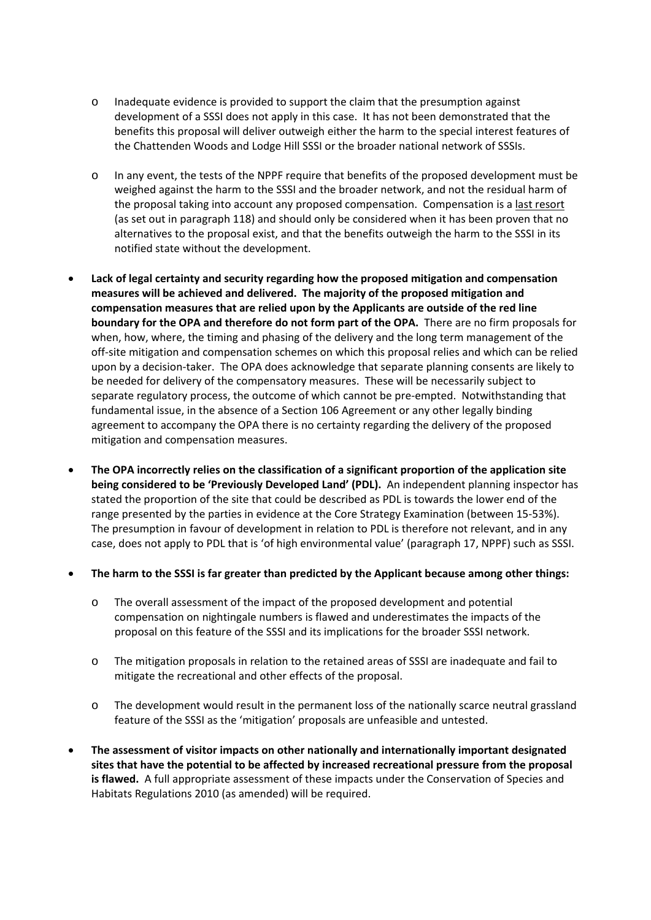- o Inadequate evidence is provided to support the claim that the presumption against development of a SSSI does not apply in this case. It has not been demonstrated that the benefits this proposal will deliver outweigh either the harm to the special interest features of the Chattenden Woods and Lodge Hill SSSI or the broader national network of SSSIs.
- o In any event, the tests of the NPPF require that benefits of the proposed development must be weighed against the harm to the SSSI and the broader network, and not the residual harm of the proposal taking into account any proposed compensation. Compensation is a last resort (as set out in paragraph 118) and should only be considered when it has been proven that no alternatives to the proposal exist, and that the benefits outweigh the harm to the SSSI in its notified state without the development.
- **Lack of legal certainty and security regarding how the proposed mitigation and compensation measures will be achieved and delivered. The majority of the proposed mitigation and compensation measures that are relied upon by the Applicants are outside of the red line boundary for the OPA and therefore do not form part of the OPA.** There are no firm proposals for when, how, where, the timing and phasing of the delivery and the long term management of the off‐site mitigation and compensation schemes on which this proposal relies and which can be relied upon by a decision-taker. The OPA does acknowledge that separate planning consents are likely to be needed for delivery of the compensatory measures. These will be necessarily subject to separate regulatory process, the outcome of which cannot be pre-empted. Notwithstanding that fundamental issue, in the absence of a Section 106 Agreement or any other legally binding agreement to accompany the OPA there is no certainty regarding the delivery of the proposed mitigation and compensation measures.
- **The OPA incorrectly relies on the classification of a significant proportion of the application site being considered to be 'Previously Developed Land' (PDL).** An independent planning inspector has stated the proportion of the site that could be described as PDL is towards the lower end of the range presented by the parties in evidence at the Core Strategy Examination (between 15‐53%). The presumption in favour of development in relation to PDL is therefore not relevant, and in any case, does not apply to PDL that is 'of high environmental value' (paragraph 17, NPPF) such as SSSI.
- **The harm to the SSSI is far greater than predicted by the Applicant because among other things:**
	- o The overall assessment of the impact of the proposed development and potential compensation on nightingale numbers is flawed and underestimates the impacts of the proposal on this feature of the SSSI and its implications for the broader SSSI network.
	- o The mitigation proposals in relation to the retained areas of SSSI are inadequate and fail to mitigate the recreational and other effects of the proposal.
	- o The development would result in the permanent loss of the nationally scarce neutral grassland feature of the SSSI as the 'mitigation' proposals are unfeasible and untested.
- **The assessment of visitor impacts on other nationally and internationally important designated sites that have the potential to be affected by increased recreational pressure from the proposal is flawed.** A full appropriate assessment of these impacts under the Conservation of Species and Habitats Regulations 2010 (as amended) will be required.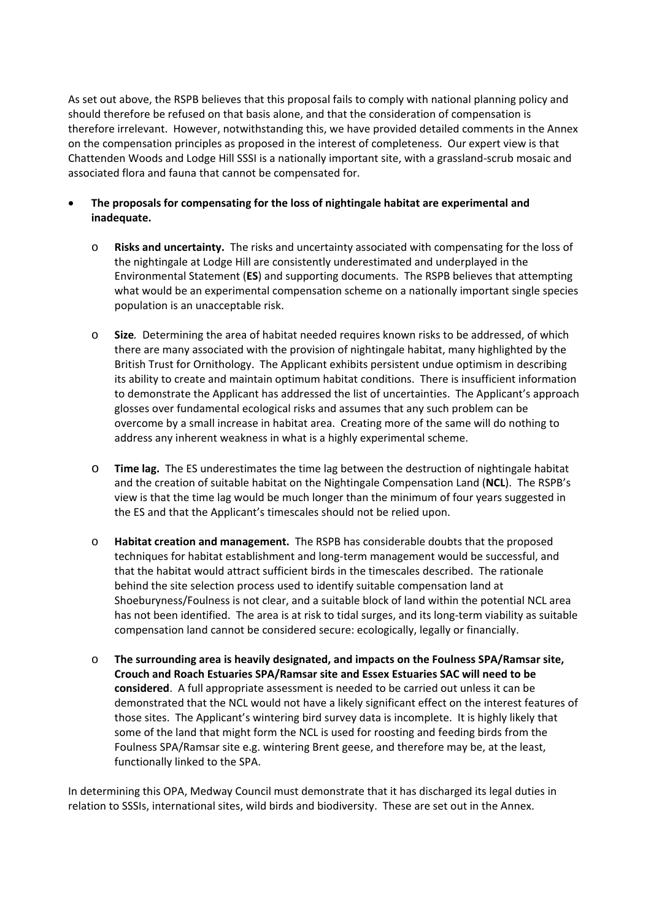As set out above, the RSPB believes that this proposal fails to comply with national planning policy and should therefore be refused on that basis alone, and that the consideration of compensation is therefore irrelevant. However, notwithstanding this, we have provided detailed comments in the Annex on the compensation principles as proposed in the interest of completeness. Our expert view is that Chattenden Woods and Lodge Hill SSSI is a nationally important site, with a grassland‐scrub mosaic and associated flora and fauna that cannot be compensated for.

- **The proposals for compensating for the loss of nightingale habitat are experimental and inadequate.** 
	- o **Risks and uncertainty.** The risks and uncertainty associated with compensating for the loss of the nightingale at Lodge Hill are consistently underestimated and underplayed in the Environmental Statement (**ES**) and supporting documents. The RSPB believes that attempting what would be an experimental compensation scheme on a nationally important single species population is an unacceptable risk.
	- o **Size***.* Determining the area of habitat needed requires known risks to be addressed, of which there are many associated with the provision of nightingale habitat, many highlighted by the British Trust for Ornithology. The Applicant exhibits persistent undue optimism in describing its ability to create and maintain optimum habitat conditions. There is insufficient information to demonstrate the Applicant has addressed the list of uncertainties. The Applicant's approach glosses over fundamental ecological risks and assumes that any such problem can be overcome by a small increase in habitat area. Creating more of the same will do nothing to address any inherent weakness in what is a highly experimental scheme.
	- o **Time lag.** The ES underestimates the time lag between the destruction of nightingale habitat and the creation of suitable habitat on the Nightingale Compensation Land (**NCL**). The RSPB's view is that the time lag would be much longer than the minimum of four years suggested in the ES and that the Applicant's timescales should not be relied upon.
	- o **Habitat creation and management.** The RSPB has considerable doubts that the proposed techniques for habitat establishment and long‐term management would be successful, and that the habitat would attract sufficient birds in the timescales described. The rationale behind the site selection process used to identify suitable compensation land at Shoeburyness/Foulness is not clear, and a suitable block of land within the potential NCL area has not been identified. The area is at risk to tidal surges, and its long-term viability as suitable compensation land cannot be considered secure: ecologically, legally or financially.
	- o **The surrounding area is heavily designated, and impacts on the Foulness SPA/Ramsar site, Crouch and Roach Estuaries SPA/Ramsar site and Essex Estuaries SAC will need to be considered**. A full appropriate assessment is needed to be carried out unless it can be demonstrated that the NCL would not have a likely significant effect on the interest features of those sites. The Applicant's wintering bird survey data is incomplete. It is highly likely that some of the land that might form the NCL is used for roosting and feeding birds from the Foulness SPA/Ramsar site e.g. wintering Brent geese, and therefore may be, at the least, functionally linked to the SPA.

In determining this OPA, Medway Council must demonstrate that it has discharged its legal duties in relation to SSSIs, international sites, wild birds and biodiversity. These are set out in the Annex.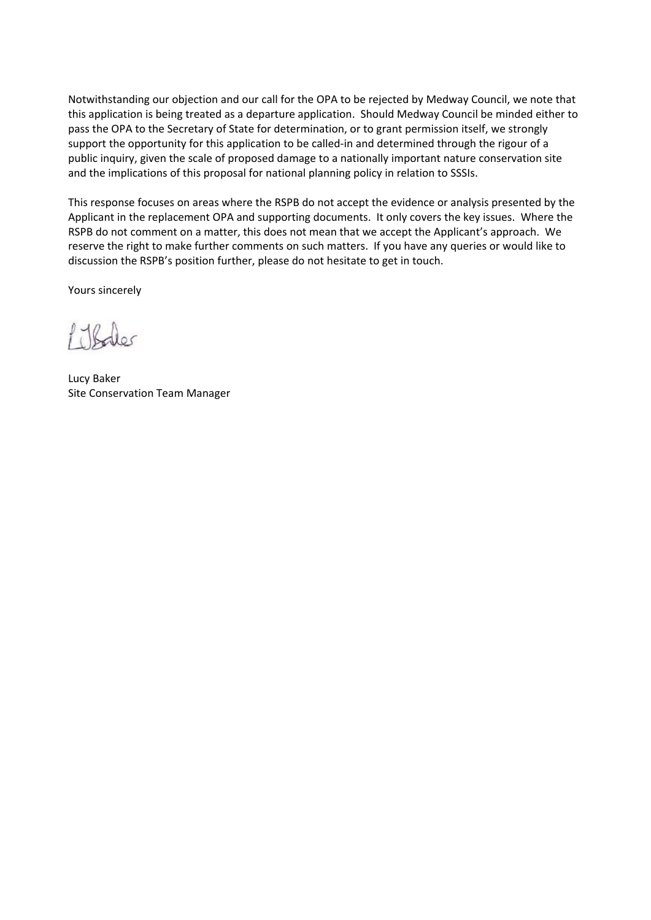Notwithstanding our objection and our call for the OPA to be rejected by Medway Council, we note that this application is being treated as a departure application. Should Medway Council be minded either to pass the OPA to the Secretary of State for determination, or to grant permission itself, we strongly support the opportunity for this application to be called-in and determined through the rigour of a public inquiry, given the scale of proposed damage to a nationally important nature conservation site and the implications of this proposal for national planning policy in relation to SSSIs.

This response focuses on areas where the RSPB do not accept the evidence or analysis presented by the Applicant in the replacement OPA and supporting documents. It only covers the key issues. Where the RSPB do not comment on a matter, this does not mean that we accept the Applicant's approach. We reserve the right to make further comments on such matters. If you have any queries or would like to discussion the RSPB's position further, please do not hesitate to get in touch.

Yours sincerely

1 Thouses

Lucy Baker Site Conservation Team Manager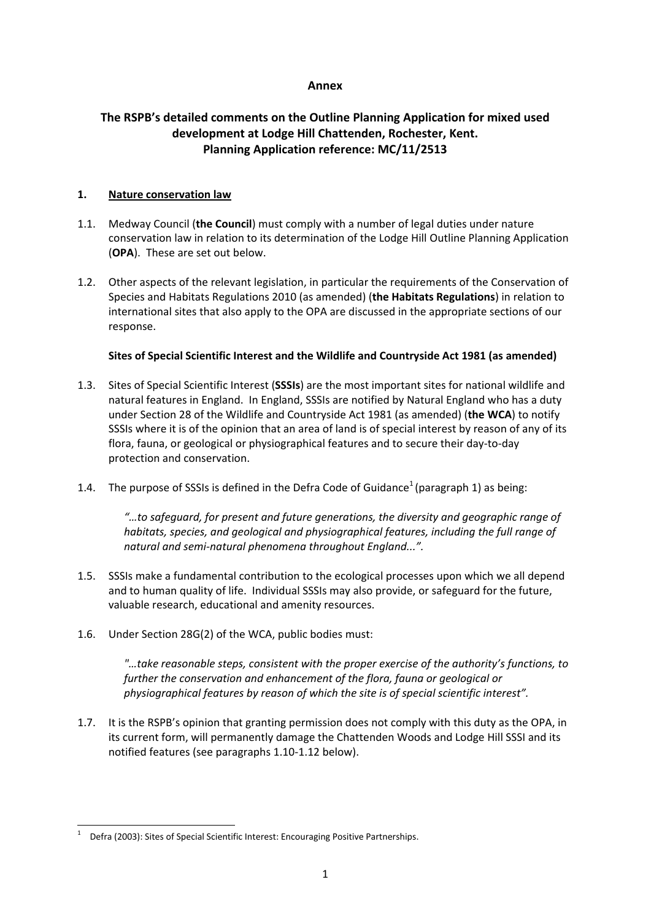## **Annex**

# **The RSPB's detailed comments on the Outline Planning Application for mixed used development at Lodge Hill Chattenden, Rochester, Kent. Planning Application reference: MC/11/2513**

## **1. Nature conservation law**

- 1.1. Medway Council (**the Council**) must comply with a number of legal duties under nature conservation law in relation to its determination of the Lodge Hill Outline Planning Application (**OPA**). These are set out below.
- 1.2. Other aspects of the relevant legislation, in particular the requirements of the Conservation of Species and Habitats Regulations 2010 (as amended) (**the Habitats Regulations**) in relation to international sites that also apply to the OPA are discussed in the appropriate sections of our response.

## **Sites of Special Scientific Interest and the Wildlife and Countryside Act 1981 (as amended)**

- 1.3. Sites of Special Scientific Interest (**SSSIs**) are the most important sites for national wildlife and natural features in England. In England, SSSIs are notified by Natural England who has a duty under Section 28 of the Wildlife and Countryside Act 1981 (as amended) (**the WCA**) to notify SSSIs where it is of the opinion that an area of land is of special interest by reason of any of its flora, fauna, or geological or physiographical features and to secure their day‐to‐day protection and conservation.
- 1.4. The purpose of SSSIs is defined in the Defra Code of Guidance<sup>1</sup> (paragraph 1) as being:

*"…to safeguard, for present and future generations, the diversity and geographic range of habitats, species, and geological and physiographical features, including the full range of natural and semi‐natural phenomena throughout England...".* 

- 1.5. SSSIs make a fundamental contribution to the ecological processes upon which we all depend and to human quality of life. Individual SSSIs may also provide, or safeguard for the future, valuable research, educational and amenity resources.
- 1.6. Under Section 28G(2) of the WCA, public bodies must:

*"…take reasonable steps, consistent with the proper exercise of the authority's functions, to further the conservation and enhancement of the flora, fauna or geological or physiographical features by reason of which the site is of special scientific interest".*

1.7. It is the RSPB's opinion that granting permission does not comply with this duty as the OPA, in its current form, will permanently damage the Chattenden Woods and Lodge Hill SSSI and its notified features (see paragraphs 1.10‐1.12 below).

<sup>1</sup> Defra (2003): Sites of Special Scientific Interest: Encouraging Positive Partnerships.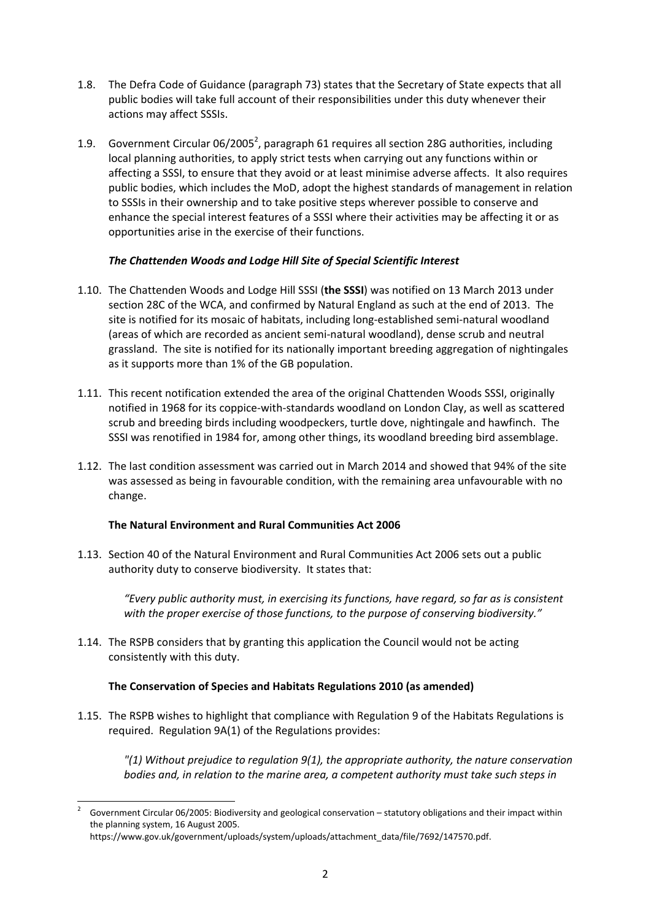- 1.8. The Defra Code of Guidance (paragraph 73) states that the Secretary of State expects that all public bodies will take full account of their responsibilities under this duty whenever their actions may affect SSSIs.
- 1.9. Government Circular 06/2005<sup>2</sup>, paragraph 61 requires all section 28G authorities, including local planning authorities, to apply strict tests when carrying out any functions within or affecting a SSSI, to ensure that they avoid or at least minimise adverse affects. It also requires public bodies, which includes the MoD, adopt the highest standards of management in relation to SSSIs in their ownership and to take positive steps wherever possible to conserve and enhance the special interest features of a SSSI where their activities may be affecting it or as opportunities arise in the exercise of their functions.

# *The Chattenden Woods and Lodge Hill Site of Special Scientific Interest*

- 1.10. The Chattenden Woods and Lodge Hill SSSI (**the SSSI**) was notified on 13 March 2013 under section 28C of the WCA, and confirmed by Natural England as such at the end of 2013. The site is notified for its mosaic of habitats, including long‐established semi‐natural woodland (areas of which are recorded as ancient semi‐natural woodland), dense scrub and neutral grassland. The site is notified for its nationally important breeding aggregation of nightingales as it supports more than 1% of the GB population.
- 1.11. This recent notification extended the area of the original Chattenden Woods SSSI, originally notified in 1968 for its coppice‐with‐standards woodland on London Clay, as well as scattered scrub and breeding birds including woodpeckers, turtle dove, nightingale and hawfinch. The SSSI was renotified in 1984 for, among other things, its woodland breeding bird assemblage.
- 1.12. The last condition assessment was carried out in March 2014 and showed that 94% of the site was assessed as being in favourable condition, with the remaining area unfavourable with no change.

# **The Natural Environment and Rural Communities Act 2006**

1.13. Section 40 of the Natural Environment and Rural Communities Act 2006 sets out a public authority duty to conserve biodiversity. It states that:

*"Every public authority must, in exercising its functions, have regard, so far as is consistent with the proper exercise of those functions, to the purpose of conserving biodiversity."*

1.14. The RSPB considers that by granting this application the Council would not be acting consistently with this duty.

# **The Conservation of Species and Habitats Regulations 2010 (as amended)**

1.15. The RSPB wishes to highlight that compliance with Regulation 9 of the Habitats Regulations is required. Regulation 9A(1) of the Regulations provides:

*"(1) Without prejudice to regulation 9(1), the appropriate authority, the nature conservation bodies and, in relation to the marine area, a competent authority must take such steps in*

<sup>2</sup> Government Circular 06/2005: Biodiversity and geological conservation – statutory obligations and their impact within the planning system, 16 August 2005.

https://www.gov.uk/government/uploads/system/uploads/attachment\_data/file/7692/147570.pdf.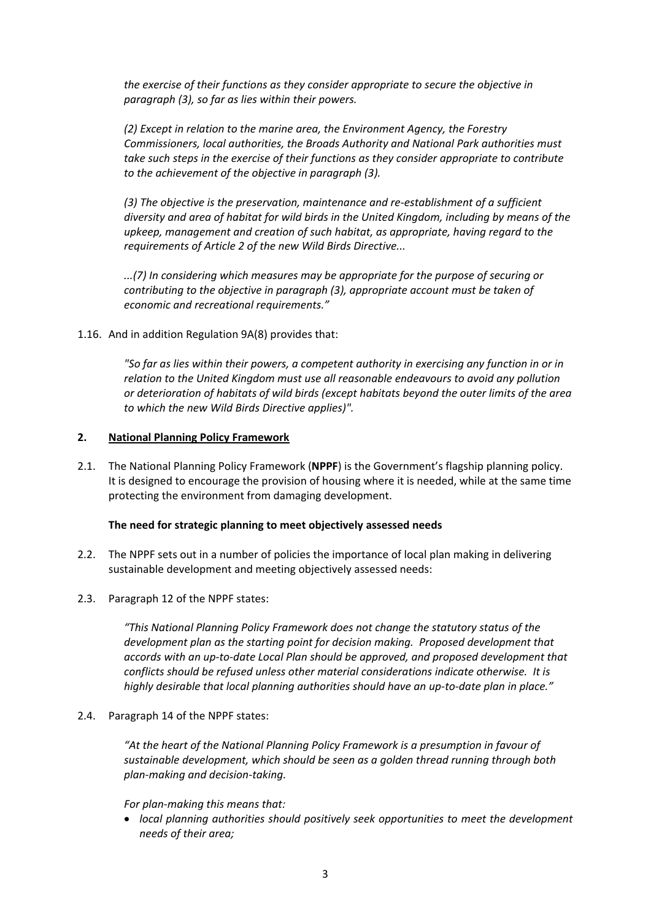*the exercise of their functions as they consider appropriate to secure the objective in paragraph (3), so far as lies within their powers.* 

*(2) Except in relation to the marine area, the Environment Agency, the Forestry Commissioners, local authorities, the Broads Authority and National Park authorities must take such steps in the exercise of their functions as they consider appropriate to contribute to the achievement of the objective in paragraph (3).*

*(3) The objective is the preservation, maintenance and re‐establishment of a sufficient diversity and area of habitat for wild birds in the United Kingdom, including by means of the upkeep, management and creation of such habitat, as appropriate, having regard to the requirements of Article 2 of the new Wild Birds Directive...*

*...(7) In considering which measures may be appropriate for the purpose of securing or contributing to the objective in paragraph (3), appropriate account must be taken of economic and recreational requirements."*

1.16. And in addition Regulation 9A(8) provides that:

*"So far as lies within their powers, a competent authority in exercising any function in or in relation to the United Kingdom must use all reasonable endeavours to avoid any pollution or deterioration of habitats of wild birds (except habitats beyond the outer limits of the area to which the new Wild Birds Directive applies)".*

#### **2. National Planning Policy Framework**

2.1. The National Planning Policy Framework (**NPPF**) is the Government's flagship planning policy. It is designed to encourage the provision of housing where it is needed, while at the same time protecting the environment from damaging development.

#### **The need for strategic planning to meet objectively assessed needs**

- 2.2. The NPPF sets out in a number of policies the importance of local plan making in delivering sustainable development and meeting objectively assessed needs:
- 2.3. Paragraph 12 of the NPPF states:

*"This National Planning Policy Framework does not change the statutory status of the development plan as the starting point for decision making. Proposed development that accords with an up‐to‐date Local Plan should be approved, and proposed development that conflicts should be refused unless other material considerations indicate otherwise. It is highly desirable that local planning authorities should have an up‐to‐date plan in place."*

2.4. Paragraph 14 of the NPPF states:

*"At the heart of the National Planning Policy Framework is a presumption in favour of sustainable development, which should be seen as a golden thread running through both plan‐making and decision‐taking.*

*For plan‐making this means that:*

 *local planning authorities should positively seek opportunities to meet the development needs of their area;*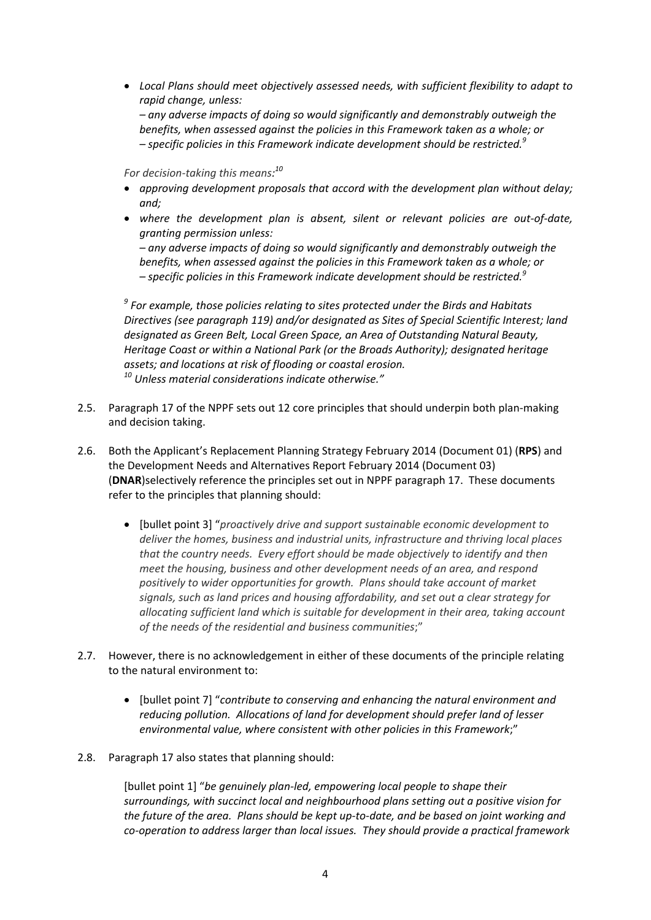*Local Plans should meet objectively assessed needs, with sufficient flexibility to adapt to rapid change, unless: – any adverse impacts of doing so would significantly and demonstrably outweigh the benefits, when assessed against the policies in this Framework taken as a whole; or – specific policies in this Framework indicate development should be restricted.<sup>9</sup>*

*For decision‐taking this means: 10*

- *approving development proposals that accord with the development plan without delay; and;*
- *where the development plan is absent, silent or relevant policies are out‐of‐date, granting permission unless:*

*– any adverse impacts of doing so would significantly and demonstrably outweigh the benefits, when assessed against the policies in this Framework taken as a whole; or – specific policies in this Framework indicate development should be restricted.<sup>9</sup>*

*<sup>9</sup> For example, those policies relating to sites protected under the Birds and Habitats Directives (see paragraph 119) and/or designated as Sites of Special Scientific Interest; land designated as Green Belt, Local Green Space, an Area of Outstanding Natural Beauty, Heritage Coast or within a National Park (or the Broads Authority); designated heritage assets; and locations at risk of flooding or coastal erosion. <sup>10</sup> Unless material considerations indicate otherwise."*

- 2.5. Paragraph 17 of the NPPF sets out 12 core principles that should underpin both plan‐making and decision taking.
- 2.6. Both the Applicant's Replacement Planning Strategy February 2014 (Document 01) (**RPS**) and the Development Needs and Alternatives Report February 2014 (Document 03) (**DNAR**)selectively reference the principles set out in NPPF paragraph 17. These documents refer to the principles that planning should:
	- [bullet point 3] "*proactively drive and support sustainable economic development to deliver the homes, business and industrial units, infrastructure and thriving local places that the country needs. Every effort should be made objectively to identify and then meet the housing, business and other development needs of an area, and respond positively to wider opportunities for growth. Plans should take account of market signals, such as land prices and housing affordability, and set out a clear strategy for allocating sufficient land which is suitable for development in their area, taking account of the needs of the residential and business communities*;"
- 2.7. However, there is no acknowledgement in either of these documents of the principle relating to the natural environment to:
	- [bullet point 7] "*contribute to conserving and enhancing the natural environment and reducing pollution. Allocations of land for development should prefer land of lesser environmental value, where consistent with other policies in this Framework*;"
- 2.8. Paragraph 17 also states that planning should:

[bullet point 1] "*be genuinely plan‐led, empowering local people to shape their surroundings, with succinct local and neighbourhood plans setting out a positive vision for* the future of the area. Plans should be kept up-to-date, and be based on joint working and *co‐operation to address larger than local issues. They should provide a practical framework*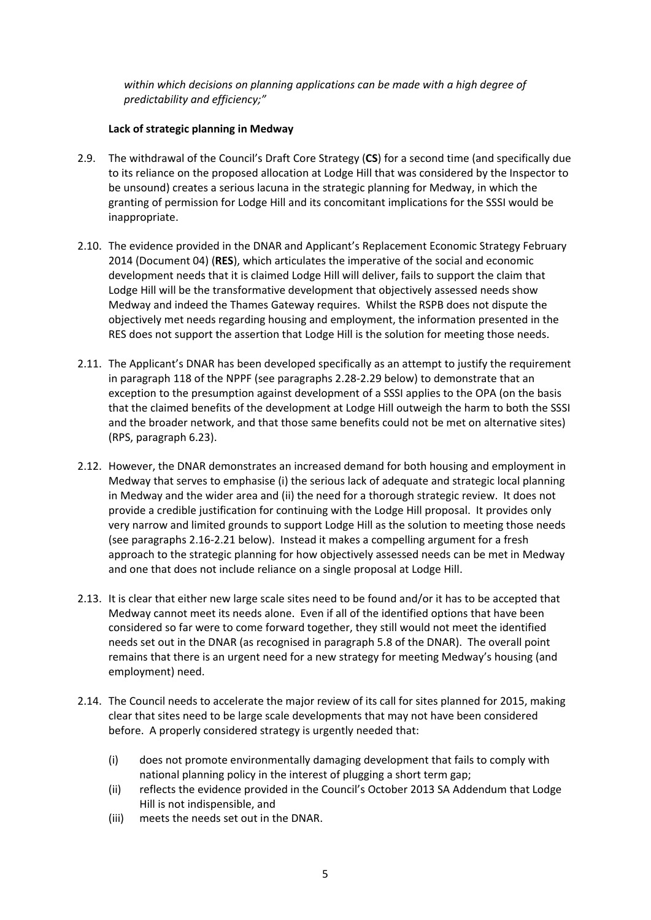*within which decisions on planning applications can be made with a high degree of predictability and efficiency;"*

## **Lack of strategic planning in Medway**

- 2.9. The withdrawal of the Council's Draft Core Strategy (**CS**) for a second time (and specifically due to its reliance on the proposed allocation at Lodge Hill that was considered by the Inspector to be unsound) creates a serious lacuna in the strategic planning for Medway, in which the granting of permission for Lodge Hill and its concomitant implications for the SSSI would be inappropriate.
- 2.10. The evidence provided in the DNAR and Applicant's Replacement Economic Strategy February 2014 (Document 04) (**RES**), which articulates the imperative of the social and economic development needs that it is claimed Lodge Hill will deliver, fails to support the claim that Lodge Hill will be the transformative development that objectively assessed needs show Medway and indeed the Thames Gateway requires. Whilst the RSPB does not dispute the objectively met needs regarding housing and employment, the information presented in the RES does not support the assertion that Lodge Hill is the solution for meeting those needs.
- 2.11. The Applicant's DNAR has been developed specifically as an attempt to justify the requirement in paragraph 118 of the NPPF (see paragraphs 2.28‐2.29 below) to demonstrate that an exception to the presumption against development of a SSSI applies to the OPA (on the basis that the claimed benefits of the development at Lodge Hill outweigh the harm to both the SSSI and the broader network, and that those same benefits could not be met on alternative sites) (RPS, paragraph 6.23).
- 2.12. However, the DNAR demonstrates an increased demand for both housing and employment in Medway that serves to emphasise (i) the serious lack of adequate and strategic local planning in Medway and the wider area and (ii) the need for a thorough strategic review. It does not provide a credible justification for continuing with the Lodge Hill proposal. It provides only very narrow and limited grounds to support Lodge Hill as the solution to meeting those needs (see paragraphs 2.16‐2.21 below). Instead it makes a compelling argument for a fresh approach to the strategic planning for how objectively assessed needs can be met in Medway and one that does not include reliance on a single proposal at Lodge Hill.
- 2.13. It is clear that either new large scale sites need to be found and/or it has to be accepted that Medway cannot meet its needs alone. Even if all of the identified options that have been considered so far were to come forward together, they still would not meet the identified needs set out in the DNAR (as recognised in paragraph 5.8 of the DNAR). The overall point remains that there is an urgent need for a new strategy for meeting Medway's housing (and employment) need.
- 2.14. The Council needs to accelerate the major review of its call for sites planned for 2015, making clear that sites need to be large scale developments that may not have been considered before. A properly considered strategy is urgently needed that:
	- (i) does not promote environmentally damaging development that fails to comply with national planning policy in the interest of plugging a short term gap;
	- (ii) reflects the evidence provided in the Council's October 2013 SA Addendum that Lodge Hill is not indispensible, and
	- (iii) meets the needs set out in the DNAR.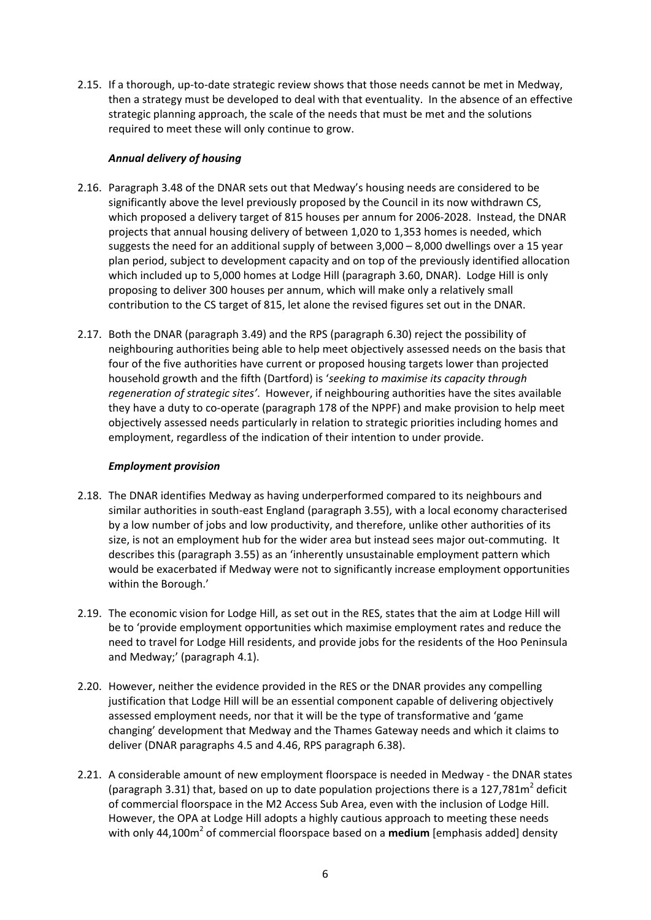2.15. If a thorough, up-to-date strategic review shows that those needs cannot be met in Medway, then a strategy must be developed to deal with that eventuality. In the absence of an effective strategic planning approach, the scale of the needs that must be met and the solutions required to meet these will only continue to grow.

## *Annual delivery of housing*

- 2.16. Paragraph 3.48 of the DNAR sets out that Medway's housing needs are considered to be significantly above the level previously proposed by the Council in its now withdrawn CS, which proposed a delivery target of 815 houses per annum for 2006‐2028. Instead, the DNAR projects that annual housing delivery of between 1,020 to 1,353 homes is needed, which suggests the need for an additional supply of between 3,000 – 8,000 dwellings over a 15 year plan period, subject to development capacity and on top of the previously identified allocation which included up to 5,000 homes at Lodge Hill (paragraph 3.60, DNAR). Lodge Hill is only proposing to deliver 300 houses per annum, which will make only a relatively small contribution to the CS target of 815, let alone the revised figures set out in the DNAR.
- 2.17. Both the DNAR (paragraph 3.49) and the RPS (paragraph 6.30) reject the possibility of neighbouring authorities being able to help meet objectively assessed needs on the basis that four of the five authorities have current or proposed housing targets lower than projected household growth and the fifth (Dartford) is '*seeking to maximise its capacity through regeneration of strategic sites'*. However, if neighbouring authorities have the sites available they have a duty to co‐operate (paragraph 178 of the NPPF) and make provision to help meet objectively assessed needs particularly in relation to strategic priorities including homes and employment, regardless of the indication of their intention to under provide.

## *Employment provision*

- 2.18. The DNAR identifies Medway as having underperformed compared to its neighbours and similar authorities in south‐east England (paragraph 3.55), with a local economy characterised by a low number of jobs and low productivity, and therefore, unlike other authorities of its size, is not an employment hub for the wider area but instead sees major out-commuting. It describes this (paragraph 3.55) as an 'inherently unsustainable employment pattern which would be exacerbated if Medway were not to significantly increase employment opportunities within the Borough.'
- 2.19. The economic vision for Lodge Hill, as set out in the RES, states that the aim at Lodge Hill will be to 'provide employment opportunities which maximise employment rates and reduce the need to travel for Lodge Hill residents, and provide jobs for the residents of the Hoo Peninsula and Medway;' (paragraph 4.1).
- 2.20. However, neither the evidence provided in the RES or the DNAR provides any compelling justification that Lodge Hill will be an essential component capable of delivering objectively assessed employment needs, nor that it will be the type of transformative and 'game changing' development that Medway and the Thames Gateway needs and which it claims to deliver (DNAR paragraphs 4.5 and 4.46, RPS paragraph 6.38).
- 2.21. A considerable amount of new employment floorspace is needed in Medway the DNAR states (paragraph 3.31) that, based on up to date population projections there is a 127,781 $m<sup>2</sup>$  deficit of commercial floorspace in the M2 Access Sub Area, even with the inclusion of Lodge Hill. However, the OPA at Lodge Hill adopts a highly cautious approach to meeting these needs with only 44,100m<sup>2</sup> of commercial floorspace based on a **medium** [emphasis added] density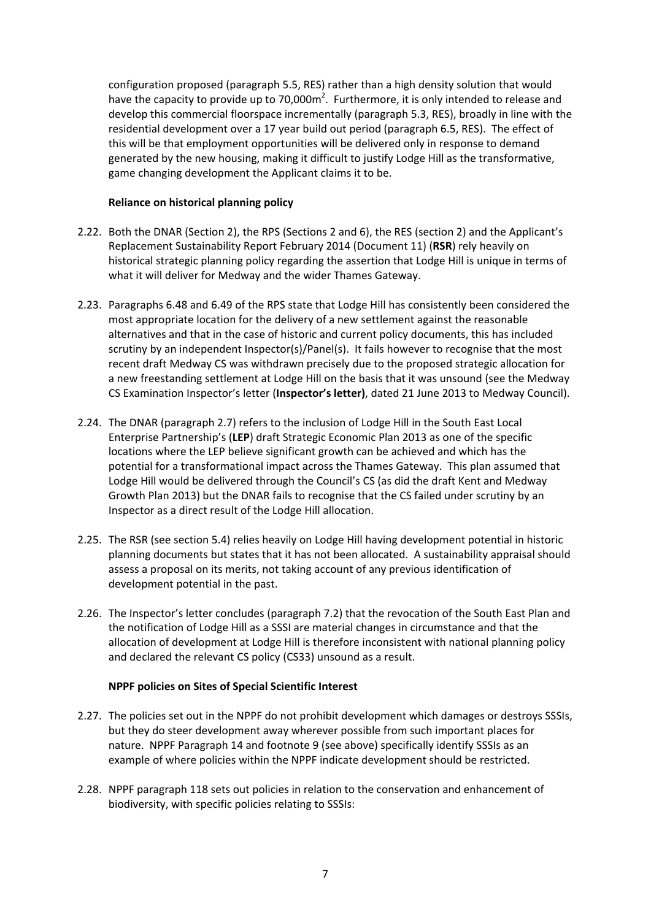configuration proposed (paragraph 5.5, RES) rather than a high density solution that would have the capacity to provide up to 70,000 $m^2$ . Furthermore, it is only intended to release and develop this commercial floorspace incrementally (paragraph 5.3, RES), broadly in line with the residential development over a 17 year build out period (paragraph 6.5, RES). The effect of this will be that employment opportunities will be delivered only in response to demand generated by the new housing, making it difficult to justify Lodge Hill as the transformative, game changing development the Applicant claims it to be.

### **Reliance on historical planning policy**

- 2.22. Both the DNAR (Section 2), the RPS (Sections 2 and 6), the RES (section 2) and the Applicant's Replacement Sustainability Report February 2014 (Document 11) (**RSR**) rely heavily on historical strategic planning policy regarding the assertion that Lodge Hill is unique in terms of what it will deliver for Medway and the wider Thames Gateway.
- 2.23. Paragraphs 6.48 and 6.49 of the RPS state that Lodge Hill has consistently been considered the most appropriate location for the delivery of a new settlement against the reasonable alternatives and that in the case of historic and current policy documents, this has included scrutiny by an independent Inspector(s)/Panel(s). It fails however to recognise that the most recent draft Medway CS was withdrawn precisely due to the proposed strategic allocation for a new freestanding settlement at Lodge Hill on the basis that it was unsound (see the Medway CS Examination Inspector's letter (**Inspector's letter)**, dated 21 June 2013 to Medway Council).
- 2.24. The DNAR (paragraph 2.7) refers to the inclusion of Lodge Hill in the South East Local Enterprise Partnership's (**LEP**) draft Strategic Economic Plan 2013 as one of the specific locations where the LEP believe significant growth can be achieved and which has the potential for a transformational impact across the Thames Gateway. This plan assumed that Lodge Hill would be delivered through the Council's CS (as did the draft Kent and Medway Growth Plan 2013) but the DNAR fails to recognise that the CS failed under scrutiny by an Inspector as a direct result of the Lodge Hill allocation.
- 2.25. The RSR (see section 5.4) relies heavily on Lodge Hill having development potential in historic planning documents but states that it has not been allocated. A sustainability appraisal should assess a proposal on its merits, not taking account of any previous identification of development potential in the past.
- 2.26. The Inspector's letter concludes (paragraph 7.2) that the revocation of the South East Plan and the notification of Lodge Hill as a SSSI are material changes in circumstance and that the allocation of development at Lodge Hill is therefore inconsistent with national planning policy and declared the relevant CS policy (CS33) unsound as a result.

#### **NPPF policies on Sites of Special Scientific Interest**

- 2.27. The policies set out in the NPPF do not prohibit development which damages or destroys SSSIs, but they do steer development away wherever possible from such important places for nature. NPPF Paragraph 14 and footnote 9 (see above) specifically identify SSSIs as an example of where policies within the NPPF indicate development should be restricted.
- 2.28. NPPF paragraph 118 sets out policies in relation to the conservation and enhancement of biodiversity, with specific policies relating to SSSIs: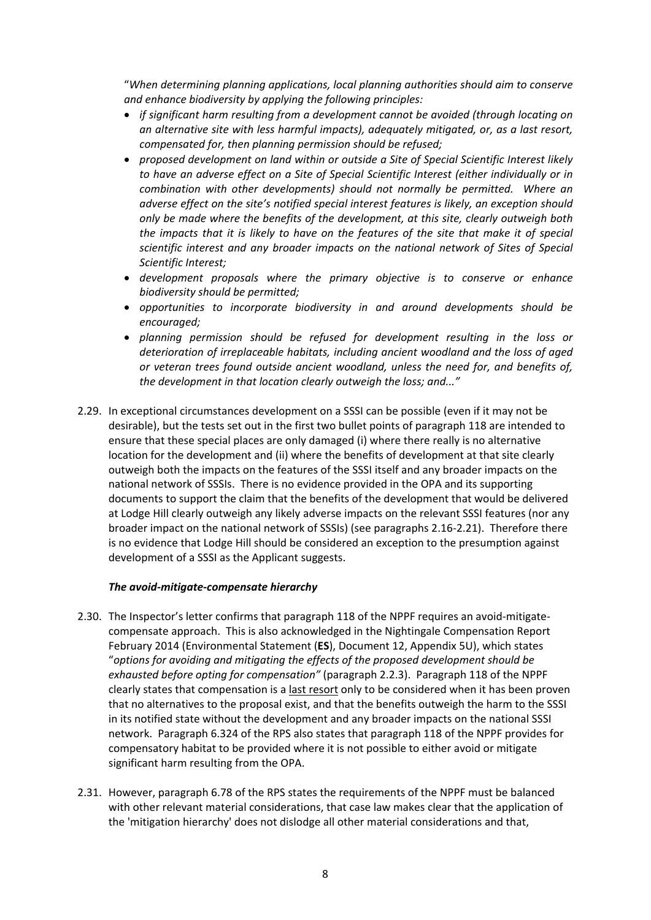"*When determining planning applications, local planning authorities should aim to conserve and enhance biodiversity by applying the following principles:*

- *if significant harm resulting from a development cannot be avoided (through locating on an alternative site with less harmful impacts), adequately mitigated, or, as a last resort, compensated for, then planning permission should be refused;*
- *proposed development on land within or outside a Site of Special Scientific Interest likely to have an adverse effect on a Site of Special Scientific Interest (either individually or in combination with other developments) should not normally be permitted. Where an adverse effect on the site's notified special interest features is likely, an exception should only be made where the benefits of the development, at this site, clearly outweigh both the impacts that it is likely to have on the features of the site that make it of special scientific interest and any broader impacts on the national network of Sites of Special Scientific Interest;*
- *development proposals where the primary objective is to conserve or enhance biodiversity should be permitted;*
- *opportunities to incorporate biodiversity in and around developments should be encouraged;*
- *planning permission should be refused for development resulting in the loss or deterioration of irreplaceable habitats, including ancient woodland and the loss of aged or veteran trees found outside ancient woodland, unless the need for, and benefits of, the development in that location clearly outweigh the loss; and..."*
- 2.29. In exceptional circumstances development on a SSSI can be possible (even if it may not be desirable), but the tests set out in the first two bullet points of paragraph 118 are intended to ensure that these special places are only damaged (i) where there really is no alternative location for the development and (ii) where the benefits of development at that site clearly outweigh both the impacts on the features of the SSSI itself and any broader impacts on the national network of SSSIs. There is no evidence provided in the OPA and its supporting documents to support the claim that the benefits of the development that would be delivered at Lodge Hill clearly outweigh any likely adverse impacts on the relevant SSSI features (nor any broader impact on the national network of SSSIs) (see paragraphs 2.16‐2.21). Therefore there is no evidence that Lodge Hill should be considered an exception to the presumption against development of a SSSI as the Applicant suggests.

#### *The avoid‐mitigate‐compensate hierarchy*

- 2.30. The Inspector's letter confirms that paragraph 118 of the NPPF requires an avoid-mitigatecompensate approach. This is also acknowledged in the Nightingale Compensation Report February 2014 (Environmental Statement (**ES**), Document 12, Appendix 5U), which states "*options for avoiding and mitigating the effects of the proposed development should be exhausted before opting for compensation"* (paragraph 2.2.3). Paragraph 118 of the NPPF clearly states that compensation is a last resort only to be considered when it has been proven that no alternatives to the proposal exist, and that the benefits outweigh the harm to the SSSI in its notified state without the development and any broader impacts on the national SSSI network. Paragraph 6.324 of the RPS also states that paragraph 118 of the NPPF provides for compensatory habitat to be provided where it is not possible to either avoid or mitigate significant harm resulting from the OPA.
- 2.31. However, paragraph 6.78 of the RPS states the requirements of the NPPF must be balanced with other relevant material considerations, that case law makes clear that the application of the 'mitigation hierarchy' does not dislodge all other material considerations and that,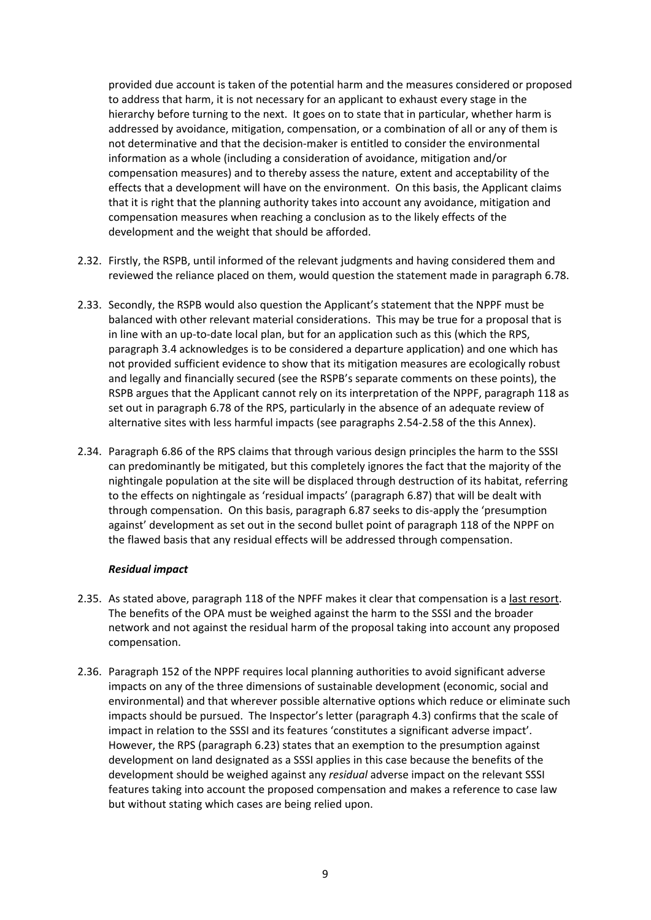provided due account is taken of the potential harm and the measures considered or proposed to address that harm, it is not necessary for an applicant to exhaust every stage in the hierarchy before turning to the next. It goes on to state that in particular, whether harm is addressed by avoidance, mitigation, compensation, or a combination of all or any of them is not determinative and that the decision‐maker is entitled to consider the environmental information as a whole (including a consideration of avoidance, mitigation and/or compensation measures) and to thereby assess the nature, extent and acceptability of the effects that a development will have on the environment. On this basis, the Applicant claims that it is right that the planning authority takes into account any avoidance, mitigation and compensation measures when reaching a conclusion as to the likely effects of the development and the weight that should be afforded.

- 2.32. Firstly, the RSPB, until informed of the relevant judgments and having considered them and reviewed the reliance placed on them, would question the statement made in paragraph 6.78.
- 2.33. Secondly, the RSPB would also question the Applicant's statement that the NPPF must be balanced with other relevant material considerations. This may be true for a proposal that is in line with an up-to-date local plan, but for an application such as this (which the RPS, paragraph 3.4 acknowledges is to be considered a departure application) and one which has not provided sufficient evidence to show that its mitigation measures are ecologically robust and legally and financially secured (see the RSPB's separate comments on these points), the RSPB argues that the Applicant cannot rely on its interpretation of the NPPF, paragraph 118 as set out in paragraph 6.78 of the RPS, particularly in the absence of an adequate review of alternative sites with less harmful impacts (see paragraphs 2.54‐2.58 of the this Annex).
- 2.34. Paragraph 6.86 of the RPS claims that through various design principles the harm to the SSSI can predominantly be mitigated, but this completely ignores the fact that the majority of the nightingale population at the site will be displaced through destruction of its habitat, referring to the effects on nightingale as 'residual impacts' (paragraph 6.87) that will be dealt with through compensation. On this basis, paragraph 6.87 seeks to dis‐apply the 'presumption against' development as set out in the second bullet point of paragraph 118 of the NPPF on the flawed basis that any residual effects will be addressed through compensation.

#### *Residual impact*

- 2.35. As stated above, paragraph 118 of the NPFF makes it clear that compensation is a last resort. The benefits of the OPA must be weighed against the harm to the SSSI and the broader network and not against the residual harm of the proposal taking into account any proposed compensation.
- 2.36. Paragraph 152 of the NPPF requires local planning authorities to avoid significant adverse impacts on any of the three dimensions of sustainable development (economic, social and environmental) and that wherever possible alternative options which reduce or eliminate such impacts should be pursued. The Inspector's letter (paragraph 4.3) confirms that the scale of impact in relation to the SSSI and its features 'constitutes a significant adverse impact'. However, the RPS (paragraph 6.23) states that an exemption to the presumption against development on land designated as a SSSI applies in this case because the benefits of the development should be weighed against any *residual* adverse impact on the relevant SSSI features taking into account the proposed compensation and makes a reference to case law but without stating which cases are being relied upon.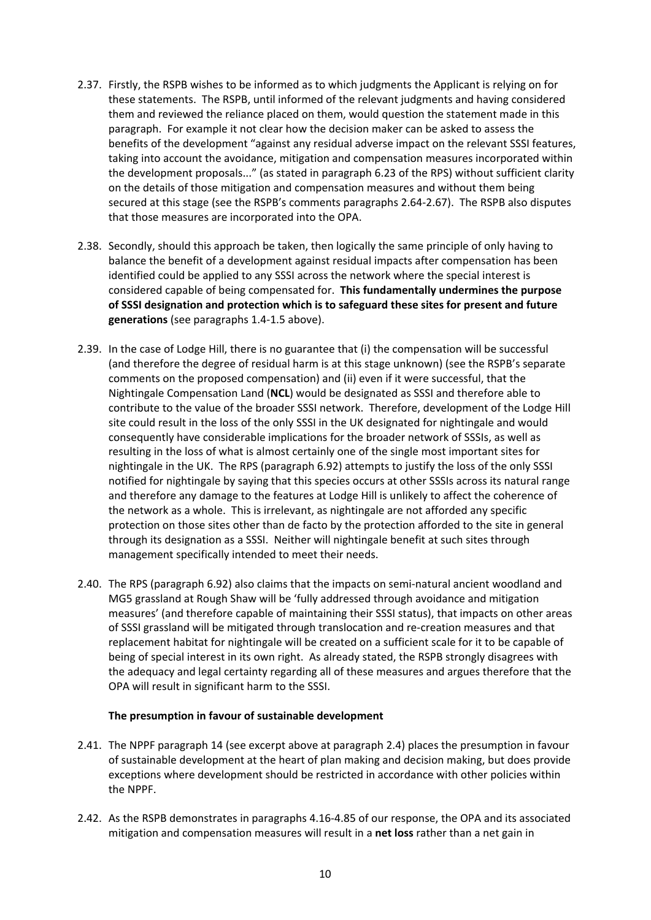- 2.37. Firstly, the RSPB wishes to be informed as to which judgments the Applicant is relying on for these statements. The RSPB, until informed of the relevant judgments and having considered them and reviewed the reliance placed on them, would question the statement made in this paragraph. For example it not clear how the decision maker can be asked to assess the benefits of the development "against any residual adverse impact on the relevant SSSI features, taking into account the avoidance, mitigation and compensation measures incorporated within the development proposals..." (as stated in paragraph 6.23 of the RPS) without sufficient clarity on the details of those mitigation and compensation measures and without them being secured at this stage (see the RSPB's comments paragraphs 2.64‐2.67). The RSPB also disputes that those measures are incorporated into the OPA.
- 2.38. Secondly, should this approach be taken, then logically the same principle of only having to balance the benefit of a development against residual impacts after compensation has been identified could be applied to any SSSI across the network where the special interest is considered capable of being compensated for. **This fundamentally undermines the purpose of SSSI designation and protection which is to safeguard these sites for present and future generations** (see paragraphs 1.4‐1.5 above).
- 2.39. In the case of Lodge Hill, there is no guarantee that (i) the compensation will be successful (and therefore the degree of residual harm is at this stage unknown) (see the RSPB's separate comments on the proposed compensation) and (ii) even if it were successful, that the Nightingale Compensation Land (**NCL**) would be designated as SSSI and therefore able to contribute to the value of the broader SSSI network. Therefore, development of the Lodge Hill site could result in the loss of the only SSSI in the UK designated for nightingale and would consequently have considerable implications for the broader network of SSSIs, as well as resulting in the loss of what is almost certainly one of the single most important sites for nightingale in the UK. The RPS (paragraph 6.92) attempts to justify the loss of the only SSSI notified for nightingale by saying that this species occurs at other SSSIs across its natural range and therefore any damage to the features at Lodge Hill is unlikely to affect the coherence of the network as a whole. This is irrelevant, as nightingale are not afforded any specific protection on those sites other than de facto by the protection afforded to the site in general through its designation as a SSSI. Neither will nightingale benefit at such sites through management specifically intended to meet their needs.
- 2.40. The RPS (paragraph 6.92) also claims that the impacts on semi‐natural ancient woodland and MG5 grassland at Rough Shaw will be 'fully addressed through avoidance and mitigation measures' (and therefore capable of maintaining their SSSI status), that impacts on other areas of SSSI grassland will be mitigated through translocation and re‐creation measures and that replacement habitat for nightingale will be created on a sufficient scale for it to be capable of being of special interest in its own right. As already stated, the RSPB strongly disagrees with the adequacy and legal certainty regarding all of these measures and argues therefore that the OPA will result in significant harm to the SSSI.

#### **The presumption in favour of sustainable development**

- 2.41. The NPPF paragraph 14 (see excerpt above at paragraph 2.4) places the presumption in favour of sustainable development at the heart of plan making and decision making, but does provide exceptions where development should be restricted in accordance with other policies within the NPPF.
- 2.42. As the RSPB demonstrates in paragraphs 4.16‐4.85 of our response, the OPA and its associated mitigation and compensation measures will result in a **net loss** rather than a net gain in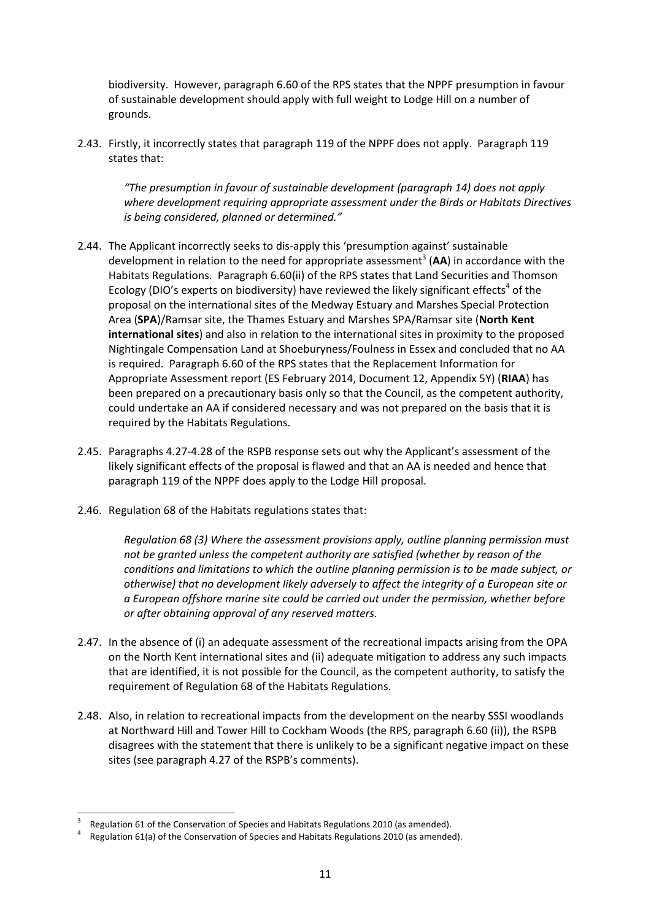biodiversity. However, paragraph 6.60 of the RPS states that the NPPF presumption in favour of sustainable development should apply with full weight to Lodge Hill on a number of grounds.

2.43. Firstly, it incorrectly states that paragraph 119 of the NPPF does not apply. Paragraph 119 states that:

*"The presumption in favour of sustainable development (paragraph 14) does not apply where development requiring appropriate assessment under the Birds or Habitats Directives is being considered, planned or determined."*

- 2.44. The Applicant incorrectly seeks to dis‐apply this 'presumption against' sustainable development in relation to the need for appropriate assessment<sup>3</sup> (AA) in accordance with the Habitats Regulations. Paragraph 6.60(ii) of the RPS states that Land Securities and Thomson Ecology (DIO's experts on biodiversity) have reviewed the likely significant effects<sup>4</sup> of the proposal on the international sites of the Medway Estuary and Marshes Special Protection Area (**SPA**)/Ramsar site, the Thames Estuary and Marshes SPA/Ramsar site (**North Kent international sites**) and also in relation to the international sites in proximity to the proposed Nightingale Compensation Land at Shoeburyness/Foulness in Essex and concluded that no AA is required. Paragraph 6.60 of the RPS states that the Replacement Information for Appropriate Assessment report (ES February 2014, Document 12, Appendix 5Y) (**RIAA**) has been prepared on a precautionary basis only so that the Council, as the competent authority, could undertake an AA if considered necessary and was not prepared on the basis that it is required by the Habitats Regulations.
- 2.45. Paragraphs 4.27‐4.28 of the RSPB response sets out why the Applicant's assessment of the likely significant effects of the proposal is flawed and that an AA is needed and hence that paragraph 119 of the NPPF does apply to the Lodge Hill proposal.
- 2.46. Regulation 68 of the Habitats regulations states that:

*Regulation 68 (3) Where the assessment provisions apply, outline planning permission must not be granted unless the competent authority are satisfied (whether by reason of the conditions and limitations to which the outline planning permission is to be made subject, or otherwise) that no development likely adversely to affect the integrity of a European site or a European offshore marine site could be carried out under the permission, whether before or after obtaining approval of any reserved matters.* 

- 2.47. In the absence of (i) an adequate assessment of the recreational impacts arising from the OPA on the North Kent international sites and (ii) adequate mitigation to address any such impacts that are identified, it is not possible for the Council, as the competent authority, to satisfy the requirement of Regulation 68 of the Habitats Regulations.
- 2.48. Also, in relation to recreational impacts from the development on the nearby SSSI woodlands at Northward Hill and Tower Hill to Cockham Woods (the RPS, paragraph 6.60 (ii)), the RSPB disagrees with the statement that there is unlikely to be a significant negative impact on these sites (see paragraph 4.27 of the RSPB's comments).

<sup>3</sup> Regulation <sup>61</sup> of the Conservation of Species and Habitats Regulations <sup>2010</sup> (as amended). <sup>4</sup>

 Regulation 61(a) of the Conservation of Species and Habitats Regulations 2010 (as amended).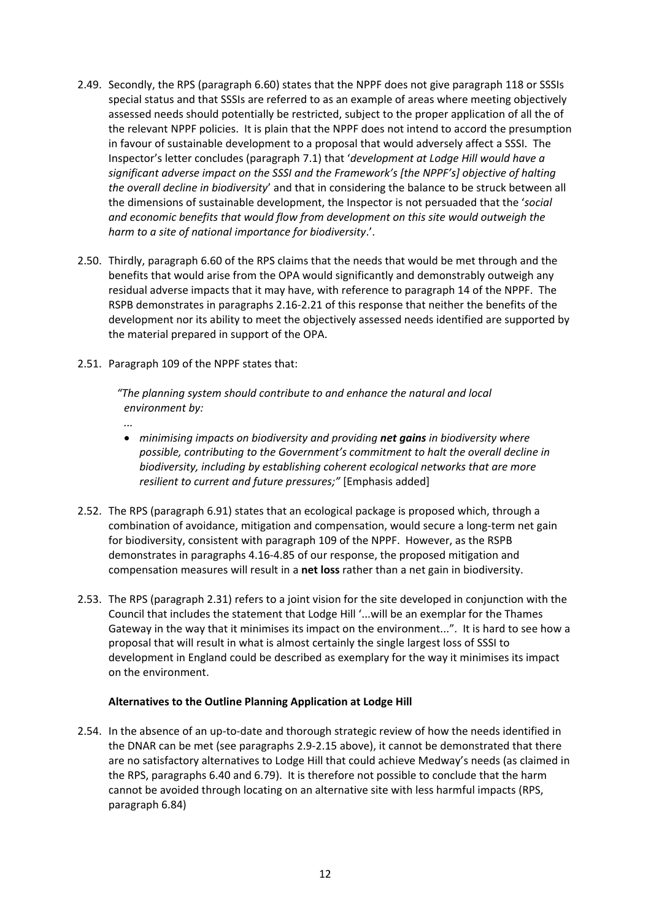- 2.49. Secondly, the RPS (paragraph 6.60) states that the NPPF does not give paragraph 118 or SSSIs special status and that SSSIs are referred to as an example of areas where meeting objectively assessed needs should potentially be restricted, subject to the proper application of all the of the relevant NPPF policies. It is plain that the NPPF does not intend to accord the presumption in favour of sustainable development to a proposal that would adversely affect a SSSI. The Inspector's letter concludes (paragraph 7.1) that '*development at Lodge Hill would have a significant adverse impact on the SSSI and the Framework's [the NPPF's] objective of halting the overall decline in biodiversity*' and that in considering the balance to be struck between all the dimensions of sustainable development, the Inspector is not persuaded that the '*social and economic benefits that would flow from development on this site would outweigh the harm to a site of national importance for biodiversity*.'.
- 2.50. Thirdly, paragraph 6.60 of the RPS claims that the needs that would be met through and the benefits that would arise from the OPA would significantly and demonstrably outweigh any residual adverse impacts that it may have, with reference to paragraph 14 of the NPPF. The RSPB demonstrates in paragraphs 2.16‐2.21 of this response that neither the benefits of the development nor its ability to meet the objectively assessed needs identified are supported by the material prepared in support of the OPA.
- 2.51. Paragraph 109 of the NPPF states that:

*...*

*"The planning system should contribute to and enhance the natural and local environment by:*

- *minimising impacts on biodiversity and providing net gains in biodiversity where possible, contributing to the Government's commitment to halt the overall decline in biodiversity, including by establishing coherent ecological networks that are more resilient to current and future pressures;"* [Emphasis added]
- 2.52. The RPS (paragraph 6.91) states that an ecological package is proposed which, through a combination of avoidance, mitigation and compensation, would secure a long-term net gain for biodiversity, consistent with paragraph 109 of the NPPF. However, as the RSPB demonstrates in paragraphs 4.16‐4.85 of our response, the proposed mitigation and compensation measures will result in a **net loss** rather than a net gain in biodiversity.
- 2.53. The RPS (paragraph 2.31) refers to a joint vision for the site developed in conjunction with the Council that includes the statement that Lodge Hill '...will be an exemplar for the Thames Gateway in the way that it minimises its impact on the environment...". It is hard to see how a proposal that will result in what is almost certainly the single largest loss of SSSI to development in England could be described as exemplary for the way it minimises its impact on the environment.

# **Alternatives to the Outline Planning Application at Lodge Hill**

2.54. In the absence of an up-to-date and thorough strategic review of how the needs identified in the DNAR can be met (see paragraphs 2.9‐2.15 above), it cannot be demonstrated that there are no satisfactory alternatives to Lodge Hill that could achieve Medway's needs (as claimed in the RPS, paragraphs 6.40 and 6.79). It is therefore not possible to conclude that the harm cannot be avoided through locating on an alternative site with less harmful impacts (RPS, paragraph 6.84)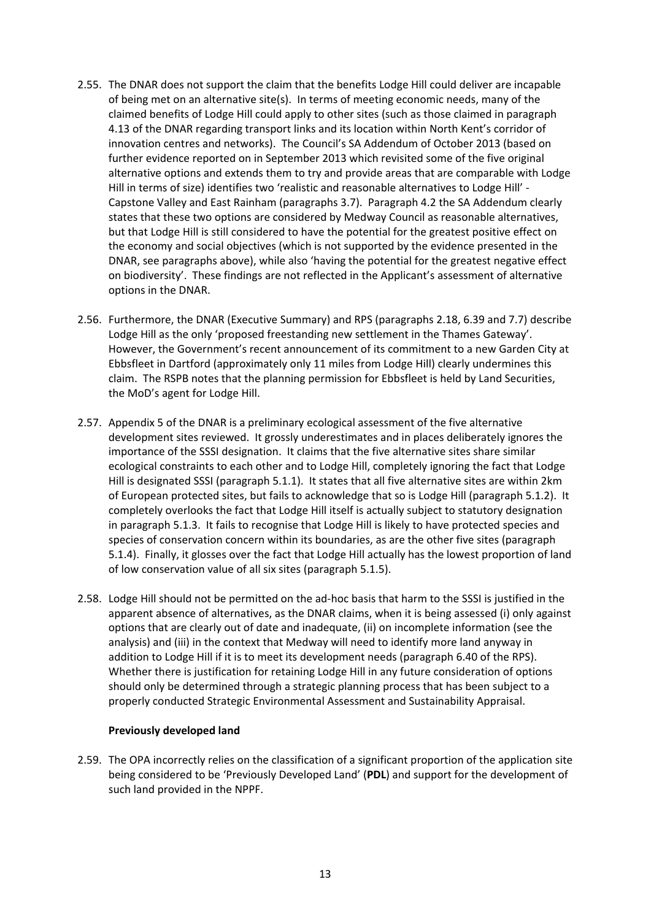- 2.55. The DNAR does not support the claim that the benefits Lodge Hill could deliver are incapable of being met on an alternative site(s). In terms of meeting economic needs, many of the claimed benefits of Lodge Hill could apply to other sites (such as those claimed in paragraph 4.13 of the DNAR regarding transport links and its location within North Kent's corridor of innovation centres and networks). The Council's SA Addendum of October 2013 (based on further evidence reported on in September 2013 which revisited some of the five original alternative options and extends them to try and provide areas that are comparable with Lodge Hill in terms of size) identifies two 'realistic and reasonable alternatives to Lodge Hill' -Capstone Valley and East Rainham (paragraphs 3.7). Paragraph 4.2 the SA Addendum clearly states that these two options are considered by Medway Council as reasonable alternatives, but that Lodge Hill is still considered to have the potential for the greatest positive effect on the economy and social objectives (which is not supported by the evidence presented in the DNAR, see paragraphs above), while also 'having the potential for the greatest negative effect on biodiversity'. These findings are not reflected in the Applicant's assessment of alternative options in the DNAR.
- 2.56. Furthermore, the DNAR (Executive Summary) and RPS (paragraphs 2.18, 6.39 and 7.7) describe Lodge Hill as the only 'proposed freestanding new settlement in the Thames Gateway'. However, the Government's recent announcement of its commitment to a new Garden City at Ebbsfleet in Dartford (approximately only 11 miles from Lodge Hill) clearly undermines this claim. The RSPB notes that the planning permission for Ebbsfleet is held by Land Securities, the MoD's agent for Lodge Hill.
- 2.57. Appendix 5 of the DNAR is a preliminary ecological assessment of the five alternative development sites reviewed. It grossly underestimates and in places deliberately ignores the importance of the SSSI designation. It claims that the five alternative sites share similar ecological constraints to each other and to Lodge Hill, completely ignoring the fact that Lodge Hill is designated SSSI (paragraph 5.1.1). It states that all five alternative sites are within 2km of European protected sites, but fails to acknowledge that so is Lodge Hill (paragraph 5.1.2). It completely overlooks the fact that Lodge Hill itself is actually subject to statutory designation in paragraph 5.1.3. It fails to recognise that Lodge Hill is likely to have protected species and species of conservation concern within its boundaries, as are the other five sites (paragraph 5.1.4). Finally, it glosses over the fact that Lodge Hill actually has the lowest proportion of land of low conservation value of all six sites (paragraph 5.1.5).
- 2.58. Lodge Hill should not be permitted on the ad-hoc basis that harm to the SSSI is justified in the apparent absence of alternatives, as the DNAR claims, when it is being assessed (i) only against options that are clearly out of date and inadequate, (ii) on incomplete information (see the analysis) and (iii) in the context that Medway will need to identify more land anyway in addition to Lodge Hill if it is to meet its development needs (paragraph 6.40 of the RPS). Whether there is justification for retaining Lodge Hill in any future consideration of options should only be determined through a strategic planning process that has been subject to a properly conducted Strategic Environmental Assessment and Sustainability Appraisal.

#### **Previously developed land**

2.59. The OPA incorrectly relies on the classification of a significant proportion of the application site being considered to be 'Previously Developed Land' (**PDL**) and support for the development of such land provided in the NPPF.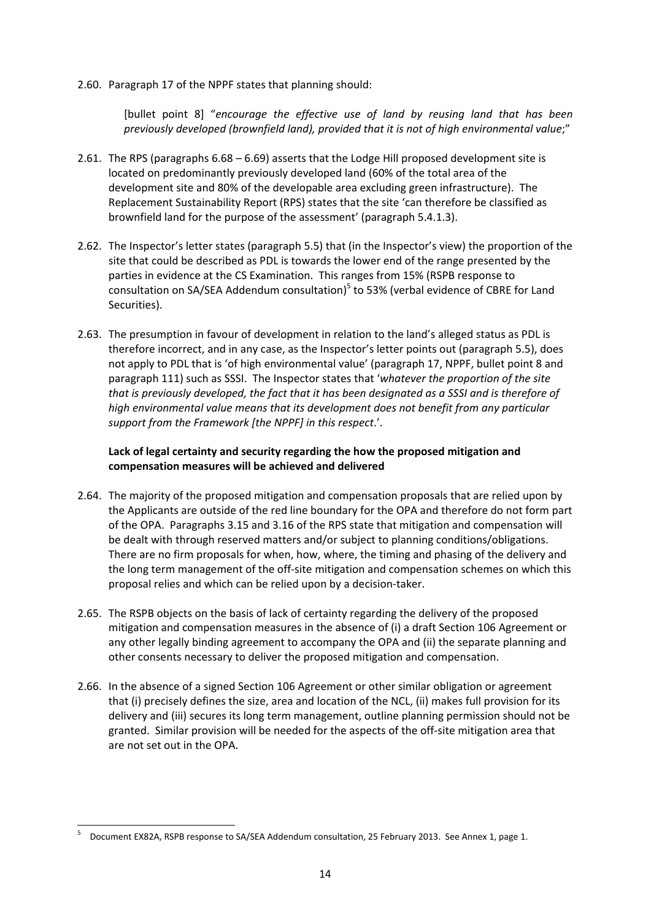2.60. Paragraph 17 of the NPPF states that planning should:

[bullet point 8] "*encourage the effective use of land by reusing land that has been previously developed (brownfield land), provided that it is not of high environmental value*;"

- 2.61. The RPS (paragraphs 6.68 6.69) asserts that the Lodge Hill proposed development site is located on predominantly previously developed land (60% of the total area of the development site and 80% of the developable area excluding green infrastructure). The Replacement Sustainability Report (RPS) states that the site 'can therefore be classified as brownfield land for the purpose of the assessment' (paragraph 5.4.1.3).
- 2.62. The Inspector's letter states (paragraph 5.5) that (in the Inspector's view) the proportion of the site that could be described as PDL is towards the lower end of the range presented by the parties in evidence at the CS Examination. This ranges from 15% (RSPB response to consultation on SA/SEA Addendum consultation)<sup>5</sup> to 53% (verbal evidence of CBRE for Land Securities).
- 2.63. The presumption in favour of development in relation to the land's alleged status as PDL is therefore incorrect, and in any case, as the Inspector's letter points out (paragraph 5.5), does not apply to PDL that is 'of high environmental value' (paragraph 17, NPPF, bullet point 8 and paragraph 111) such as SSSI. The Inspector states that '*whatever the proportion of the site that is previously developed, the fact that it has been designated as a SSSI and is therefore of high environmental value means that its development does not benefit from any particular support from the Framework [the NPPF] in this respect*.'.

## **Lack of legal certainty and security regarding the how the proposed mitigation and compensation measures will be achieved and delivered**

- 2.64. The majority of the proposed mitigation and compensation proposals that are relied upon by the Applicants are outside of the red line boundary for the OPA and therefore do not form part of the OPA.Paragraphs 3.15 and 3.16 of the RPS state that mitigation and compensation will be dealt with through reserved matters and/or subject to planning conditions/obligations. There are no firm proposals for when, how, where, the timing and phasing of the delivery and the long term management of the off‐site mitigation and compensation schemes on which this proposal relies and which can be relied upon by a decision‐taker.
- 2.65. The RSPB objects on the basis of lack of certainty regarding the delivery of the proposed mitigation and compensation measures in the absence of (i) a draft Section 106 Agreement or any other legally binding agreement to accompany the OPA and (ii) the separate planning and other consents necessary to deliver the proposed mitigation and compensation.
- 2.66. In the absence of a signed Section 106 Agreement or other similar obligation or agreement that (i) precisely defines the size, area and location of the NCL, (ii) makes full provision for its delivery and (iii) secures its long term management, outline planning permission should not be granted. Similar provision will be needed for the aspects of the off‐site mitigation area that are not set out in the OPA.

<sup>5</sup> Document EX82A, RSPB response to SA/SEA Addendum consultation, 25 February 2013. See Annex 1, page 1.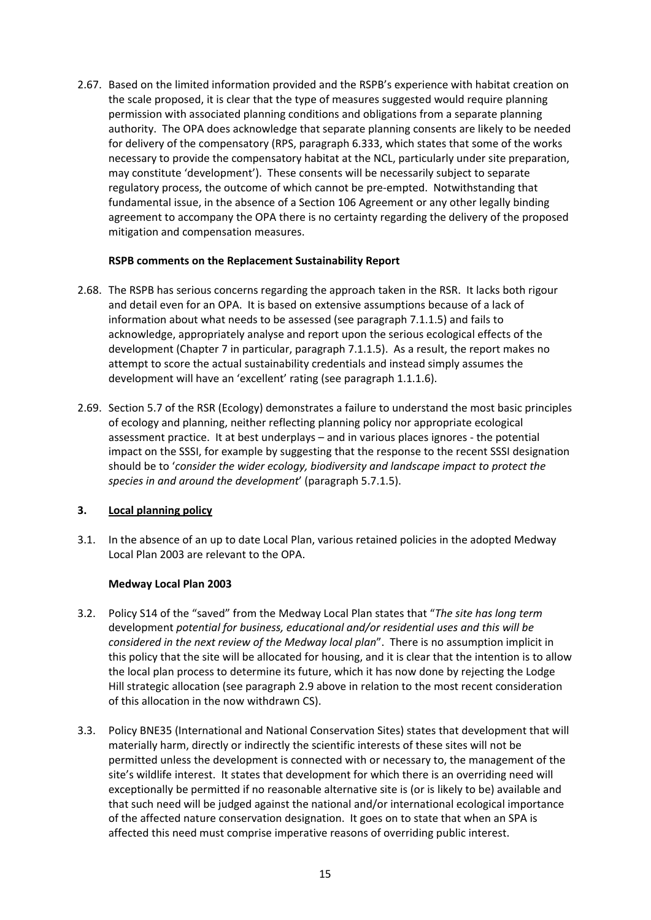2.67. Based on the limited information provided and the RSPB's experience with habitat creation on the scale proposed, it is clear that the type of measures suggested would require planning permission with associated planning conditions and obligations from a separate planning authority. The OPA does acknowledge that separate planning consents are likely to be needed for delivery of the compensatory (RPS, paragraph 6.333, which states that some of the works necessary to provide the compensatory habitat at the NCL, particularly under site preparation, may constitute 'development'). These consents will be necessarily subject to separate regulatory process, the outcome of which cannot be pre-empted. Notwithstanding that fundamental issue, in the absence of a Section 106 Agreement or any other legally binding agreement to accompany the OPA there is no certainty regarding the delivery of the proposed mitigation and compensation measures. 

## **RSPB comments on the Replacement Sustainability Report**

- 2.68. The RSPB has serious concerns regarding the approach taken in the RSR. It lacks both rigour and detail even for an OPA. It is based on extensive assumptions because of a lack of information about what needs to be assessed (see paragraph 7.1.1.5) and fails to acknowledge, appropriately analyse and report upon the serious ecological effects of the development (Chapter 7 in particular, paragraph 7.1.1.5). As a result, the report makes no attempt to score the actual sustainability credentials and instead simply assumes the development will have an 'excellent' rating (see paragraph 1.1.1.6).
- 2.69. Section 5.7 of the RSR (Ecology) demonstrates a failure to understand the most basic principles of ecology and planning, neither reflecting planning policy nor appropriate ecological assessment practice. It at best underplays – and in various places ignores ‐ the potential impact on the SSSI, for example by suggesting that the response to the recent SSSI designation should be to '*consider the wider ecology, biodiversity and landscape impact to protect the species in and around the development*' (paragraph 5.7.1.5).

# **3. Local planning policy**

3.1. In the absence of an up to date Local Plan, various retained policies in the adopted Medway Local Plan 2003 are relevant to the OPA.

#### **Medway Local Plan 2003**

- 3.2. Policy S14 of the "saved" from the Medway Local Plan states that "*The site has long term* development *potential for business, educational and/or residential uses and this will be considered in the next review of the Medway local plan*". There is no assumption implicit in this policy that the site will be allocated for housing, and it is clear that the intention is to allow the local plan process to determine its future, which it has now done by rejecting the Lodge Hill strategic allocation (see paragraph 2.9 above in relation to the most recent consideration of this allocation in the now withdrawn CS).
- 3.3. Policy BNE35 (International and National Conservation Sites) states that development that will materially harm, directly or indirectly the scientific interests of these sites will not be permitted unless the development is connected with or necessary to, the management of the site's wildlife interest. It states that development for which there is an overriding need will exceptionally be permitted if no reasonable alternative site is (or is likely to be) available and that such need will be judged against the national and/or international ecological importance of the affected nature conservation designation. It goes on to state that when an SPA is affected this need must comprise imperative reasons of overriding public interest.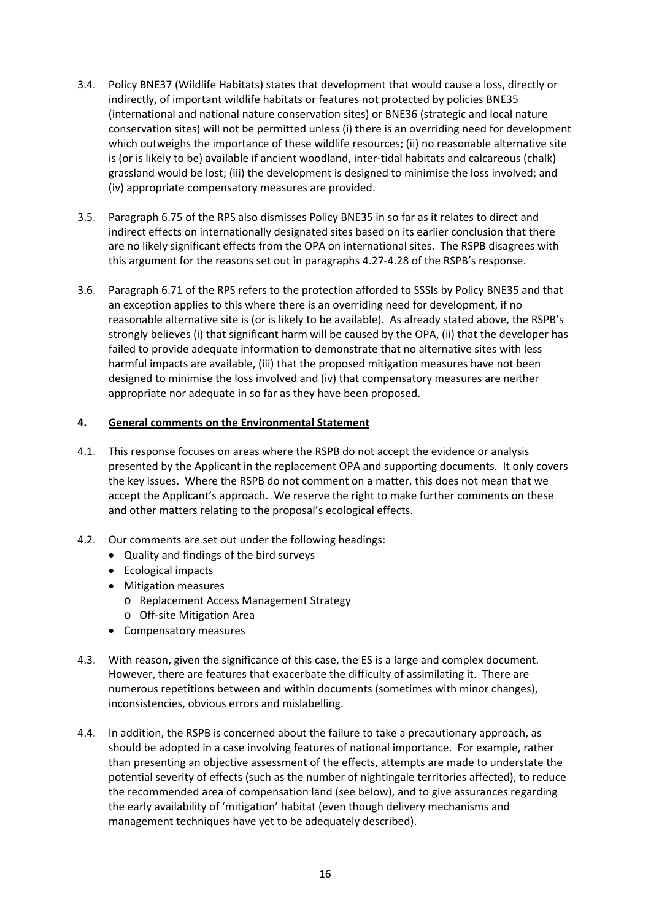- 3.4. Policy BNE37 (Wildlife Habitats) states that development that would cause a loss, directly or indirectly, of important wildlife habitats or features not protected by policies BNE35 (international and national nature conservation sites) or BNE36 (strategic and local nature conservation sites) will not be permitted unless (i) there is an overriding need for development which outweighs the importance of these wildlife resources; (ii) no reasonable alternative site is (or is likely to be) available if ancient woodland, inter‐tidal habitats and calcareous (chalk) grassland would be lost; (iii) the development is designed to minimise the loss involved; and (iv) appropriate compensatory measures are provided.
- 3.5. Paragraph 6.75 of the RPS also dismisses Policy BNE35 in so far as it relates to direct and indirect effects on internationally designated sites based on its earlier conclusion that there are no likely significant effects from the OPA on international sites. The RSPB disagrees with this argument for the reasons set out in paragraphs 4.27‐4.28 of the RSPB's response.
- 3.6. Paragraph 6.71 of the RPS refers to the protection afforded to SSSIs by Policy BNE35 and that an exception applies to this where there is an overriding need for development, if no reasonable alternative site is (or is likely to be available). As already stated above, the RSPB's strongly believes (i) that significant harm will be caused by the OPA, (ii) that the developer has failed to provide adequate information to demonstrate that no alternative sites with less harmful impacts are available, (iii) that the proposed mitigation measures have not been designed to minimise the loss involved and (iv) that compensatory measures are neither appropriate nor adequate in so far as they have been proposed.

## **4. General comments on the Environmental Statement**

- 4.1. This response focuses on areas where the RSPB do not accept the evidence or analysis presented by the Applicant in the replacement OPA and supporting documents. It only covers the key issues. Where the RSPB do not comment on a matter, this does not mean that we accept the Applicant's approach. We reserve the right to make further comments on these and other matters relating to the proposal's ecological effects.
- 4.2. Our comments are set out under the following headings:
	- Quality and findings of the bird surveys
	- Ecological impacts
	- Mitigation measures
		- o Replacement Access Management Strategy
		- o Off‐site Mitigation Area
	- Compensatory measures
- 4.3. With reason, given the significance of this case, the ES is a large and complex document. However, there are features that exacerbate the difficulty of assimilating it. There are numerous repetitions between and within documents (sometimes with minor changes), inconsistencies, obvious errors and mislabelling.
- 4.4. In addition, the RSPB is concerned about the failure to take a precautionary approach, as should be adopted in a case involving features of national importance. For example, rather than presenting an objective assessment of the effects, attempts are made to understate the potential severity of effects (such as the number of nightingale territories affected), to reduce the recommended area of compensation land (see below), and to give assurances regarding the early availability of 'mitigation' habitat (even though delivery mechanisms and management techniques have yet to be adequately described).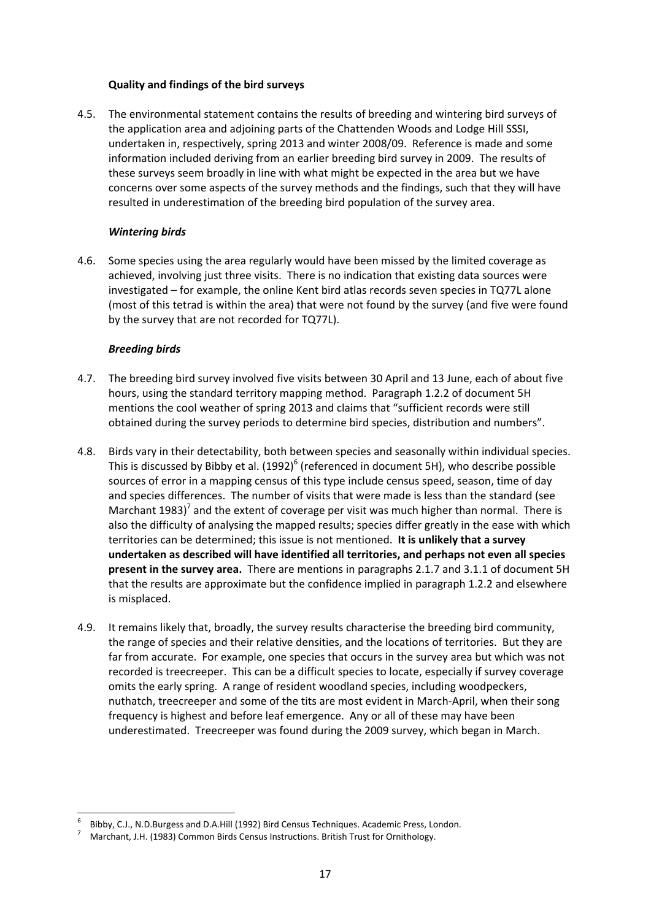### **Quality and findings of the bird surveys**

4.5. The environmental statement contains the results of breeding and wintering bird surveys of the application area and adjoining parts of the Chattenden Woods and Lodge Hill SSSI, undertaken in, respectively, spring 2013 and winter 2008/09. Reference is made and some information included deriving from an earlier breeding bird survey in 2009. The results of these surveys seem broadly in line with what might be expected in the area but we have concerns over some aspects of the survey methods and the findings, such that they will have resulted in underestimation of the breeding bird population of the survey area.

## *Wintering birds*

4.6. Some species using the area regularly would have been missed by the limited coverage as achieved, involving just three visits. There is no indication that existing data sources were investigated – for example, the online Kent bird atlas records seven species in TQ77L alone (most of this tetrad is within the area) that were not found by the survey (and five were found by the survey that are not recorded for TQ77L).

## *Breeding birds*

- 4.7. The breeding bird survey involved five visits between 30 April and 13 June, each of about five hours, using the standard territory mapping method. Paragraph 1.2.2 of document 5H mentions the cool weather of spring 2013 and claims that "sufficient records were still obtained during the survey periods to determine bird species, distribution and numbers".
- 4.8. Birds vary in their detectability, both between species and seasonally within individual species. This is discussed by Bibby et al.  $(1992)^6$  (referenced in document 5H), who describe possible sources of error in a mapping census of this type include census speed, season, time of day and species differences. The number of visits that were made is less than the standard (see Marchant 1983)<sup>7</sup> and the extent of coverage per visit was much higher than normal. There is also the difficulty of analysing the mapped results; species differ greatly in the ease with which territories can be determined; this issue is not mentioned. **It is unlikely that a survey undertaken as described will have identified all territories, and perhaps not even all species present in the survey area.** There are mentions in paragraphs 2.1.7 and 3.1.1 of document 5H that the results are approximate but the confidence implied in paragraph 1.2.2 and elsewhere is misplaced.
- 4.9. It remains likely that, broadly, the survey results characterise the breeding bird community, the range of species and their relative densities, and the locations of territories. But they are far from accurate. For example, one species that occurs in the survey area but which was not recorded is treecreeper. This can be a difficult species to locate, especially if survey coverage omits the early spring. A range of resident woodland species, including woodpeckers, nuthatch, treecreeper and some of the tits are most evident in March‐April, when their song frequency is highest and before leaf emergence. Any or all of these may have been underestimated. Treecreeper was found during the 2009 survey, which began in March.

<sup>6</sup> Bibby, C.J., N.D.Burgess and D.A.Hill (1992) Bird Census Techniques. Academic Press, London. <sup>7</sup>

 Marchant, J.H. (1983) Common Birds Census Instructions. British Trust for Ornithology.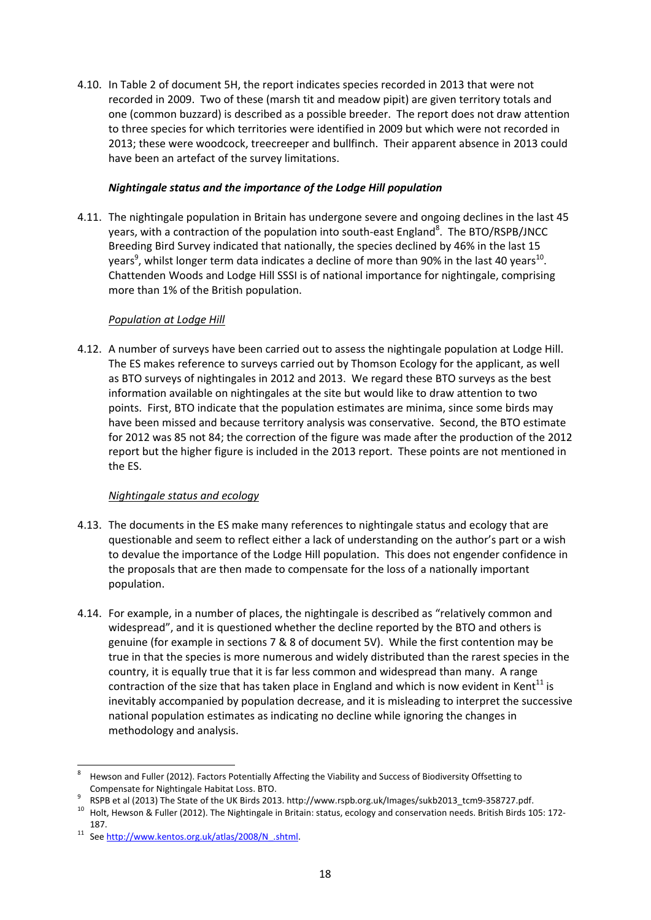4.10. In Table 2 of document 5H, the report indicates species recorded in 2013 that were not recorded in 2009. Two of these (marsh tit and meadow pipit) are given territory totals and one (common buzzard) is described as a possible breeder. The report does not draw attention to three species for which territories were identified in 2009 but which were not recorded in 2013; these were woodcock, treecreeper and bullfinch. Their apparent absence in 2013 could have been an artefact of the survey limitations.

## *Nightingale status and the importance of the Lodge Hill population*

4.11. The nightingale population in Britain has undergone severe and ongoing declines in the last 45 years, with a contraction of the population into south-east England<sup>8</sup>. The BTO/RSPB/JNCC Breeding Bird Survey indicated that nationally, the species declined by 46% in the last 15 years<sup>9</sup>, whilst longer term data indicates a decline of more than 90% in the last 40 years<sup>10</sup>. Chattenden Woods and Lodge Hill SSSI is of national importance for nightingale, comprising more than 1% of the British population.

## *Population at Lodge Hill*

4.12. A number of surveys have been carried out to assess the nightingale population at Lodge Hill. The ES makes reference to surveys carried out by Thomson Ecology for the applicant, as well as BTO surveys of nightingales in 2012 and 2013. We regard these BTO surveys as the best information available on nightingales at the site but would like to draw attention to two points. First, BTO indicate that the population estimates are minima, since some birds may have been missed and because territory analysis was conservative. Second, the BTO estimate for 2012 was 85 not 84; the correction of the figure was made after the production of the 2012 report but the higher figure is included in the 2013 report. These points are not mentioned in the ES.

#### *Nightingale status and ecology*

- 4.13. The documents in the ES make many references to nightingale status and ecology that are questionable and seem to reflect either a lack of understanding on the author's part or a wish to devalue the importance of the Lodge Hill population. This does not engender confidence in the proposals that are then made to compensate for the loss of a nationally important population.
- 4.14. For example, in a number of places, the nightingale is described as "relatively common and widespread", and it is questioned whether the decline reported by the BTO and others is genuine (for example in sections 7 & 8 of document 5V). While the first contention may be true in that the species is more numerous and widely distributed than the rarest species in the country, it is equally true that it is far less common and widespread than many. A range contraction of the size that has taken place in England and which is now evident in Kent<sup>11</sup> is inevitably accompanied by population decrease, and it is misleading to interpret the successive national population estimates as indicating no decline while ignoring the changes in methodology and analysis.

<sup>-</sup>8 Hewson and Fuller (2012). Factors Potentially Affecting the Viability and Success of Biodiversity Offsetting to

Compensate for Nightingale Habitat Loss. BTO.<br>RSPB et al (2013) The State of the UK Birds 2013. http://www.rspb.org.uk/Images/sukb2013 tcm9-358727.pdf.

<sup>&</sup>lt;sup>10</sup> Holt, Hewson & Fuller (2012). The Nightingale in Britain: status, ecology and conservation needs. British Birds 105: 172-

<sup>187.&</sup>lt;br><sup>11</sup> See http://www.kentos.org.uk/atlas/2008/N\_.shtml.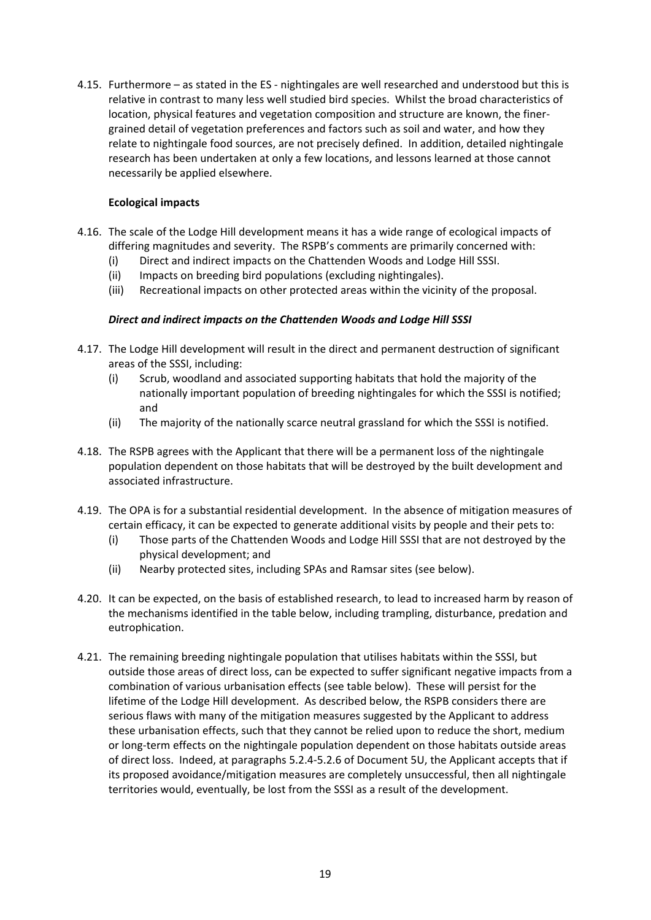4.15. Furthermore – as stated in the ES ‐ nightingales are well researched and understood but this is relative in contrast to many less well studied bird species. Whilst the broad characteristics of location, physical features and vegetation composition and structure are known, the finer‐ grained detail of vegetation preferences and factors such as soil and water, and how they relate to nightingale food sources, are not precisely defined. In addition, detailed nightingale research has been undertaken at only a few locations, and lessons learned at those cannot necessarily be applied elsewhere.

## **Ecological impacts**

- 4.16. The scale of the Lodge Hill development means it has a wide range of ecological impacts of differing magnitudes and severity. The RSPB's comments are primarily concerned with:
	- (i) Direct and indirect impacts on the Chattenden Woods and Lodge Hill SSSI.
	- (ii) Impacts on breeding bird populations (excluding nightingales).
	- (iii) Recreational impacts on other protected areas within the vicinity of the proposal.

## *Direct and indirect impacts on the Chattenden Woods and Lodge Hill SSSI*

- 4.17. The Lodge Hill development will result in the direct and permanent destruction of significant areas of the SSSI, including:
	- (i) Scrub, woodland and associated supporting habitats that hold the majority of the nationally important population of breeding nightingales for which the SSSI is notified; and
	- (ii) The majority of the nationally scarce neutral grassland for which the SSSI is notified.
- 4.18. The RSPB agrees with the Applicant that there will be a permanent loss of the nightingale population dependent on those habitats that will be destroyed by the built development and associated infrastructure.
- 4.19. The OPA is for a substantial residential development. In the absence of mitigation measures of certain efficacy, it can be expected to generate additional visits by people and their pets to:
	- (i) Those parts of the Chattenden Woods and Lodge Hill SSSI that are not destroyed by the physical development; and
	- (ii) Nearby protected sites, including SPAs and Ramsar sites (see below).
- 4.20. It can be expected, on the basis of established research, to lead to increased harm by reason of the mechanisms identified in the table below, including trampling, disturbance, predation and eutrophication.
- 4.21. The remaining breeding nightingale population that utilises habitats within the SSSI, but outside those areas of direct loss, can be expected to suffer significant negative impacts from a combination of various urbanisation effects (see table below). These will persist for the lifetime of the Lodge Hill development. As described below, the RSPB considers there are serious flaws with many of the mitigation measures suggested by the Applicant to address these urbanisation effects, such that they cannot be relied upon to reduce the short, medium or long‐term effects on the nightingale population dependent on those habitats outside areas of direct loss. Indeed, at paragraphs 5.2.4‐5.2.6 of Document 5U, the Applicant accepts that if its proposed avoidance/mitigation measures are completely unsuccessful, then all nightingale territories would, eventually, be lost from the SSSI as a result of the development.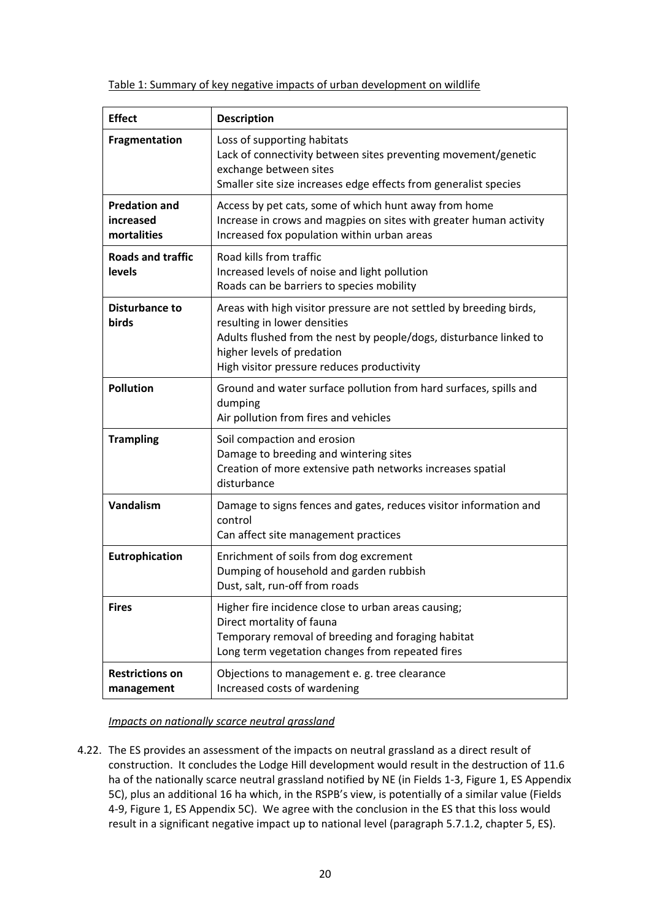Table 1: Summary of key negative impacts of urban development on wildlife

| <b>Effect</b>                                    | <b>Description</b>                                                                                                                                                                                                                                    |
|--------------------------------------------------|-------------------------------------------------------------------------------------------------------------------------------------------------------------------------------------------------------------------------------------------------------|
| Fragmentation                                    | Loss of supporting habitats<br>Lack of connectivity between sites preventing movement/genetic<br>exchange between sites<br>Smaller site size increases edge effects from generalist species                                                           |
| <b>Predation and</b><br>increased<br>mortalities | Access by pet cats, some of which hunt away from home<br>Increase in crows and magpies on sites with greater human activity<br>Increased fox population within urban areas                                                                            |
| <b>Roads and traffic</b><br><b>levels</b>        | Road kills from traffic<br>Increased levels of noise and light pollution<br>Roads can be barriers to species mobility                                                                                                                                 |
| Disturbance to<br>birds                          | Areas with high visitor pressure are not settled by breeding birds,<br>resulting in lower densities<br>Adults flushed from the nest by people/dogs, disturbance linked to<br>higher levels of predation<br>High visitor pressure reduces productivity |
| <b>Pollution</b>                                 | Ground and water surface pollution from hard surfaces, spills and<br>dumping<br>Air pollution from fires and vehicles                                                                                                                                 |
| <b>Trampling</b>                                 | Soil compaction and erosion<br>Damage to breeding and wintering sites<br>Creation of more extensive path networks increases spatial<br>disturbance                                                                                                    |
| Vandalism                                        | Damage to signs fences and gates, reduces visitor information and<br>control<br>Can affect site management practices                                                                                                                                  |
| Eutrophication                                   | Enrichment of soils from dog excrement<br>Dumping of household and garden rubbish<br>Dust, salt, run-off from roads                                                                                                                                   |
| <b>Fires</b>                                     | Higher fire incidence close to urban areas causing;<br>Direct mortality of fauna<br>Temporary removal of breeding and foraging habitat<br>Long term vegetation changes from repeated fires                                                            |
| <b>Restrictions on</b><br>management             | Objections to management e. g. tree clearance<br>Increased costs of wardening                                                                                                                                                                         |

# *Impacts on nationally scarce neutral grassland*

4.22. The ES provides an assessment of the impacts on neutral grassland as a direct result of construction. It concludes the Lodge Hill development would result in the destruction of 11.6 ha of the nationally scarce neutral grassland notified by NE (in Fields 1-3, Figure 1, ES Appendix 5C), plus an additional 16 ha which, in the RSPB's view, is potentially of a similar value (Fields 4‐9, Figure 1, ES Appendix 5C). We agree with the conclusion in the ES that this loss would result in a significant negative impact up to national level (paragraph 5.7.1.2, chapter 5, ES).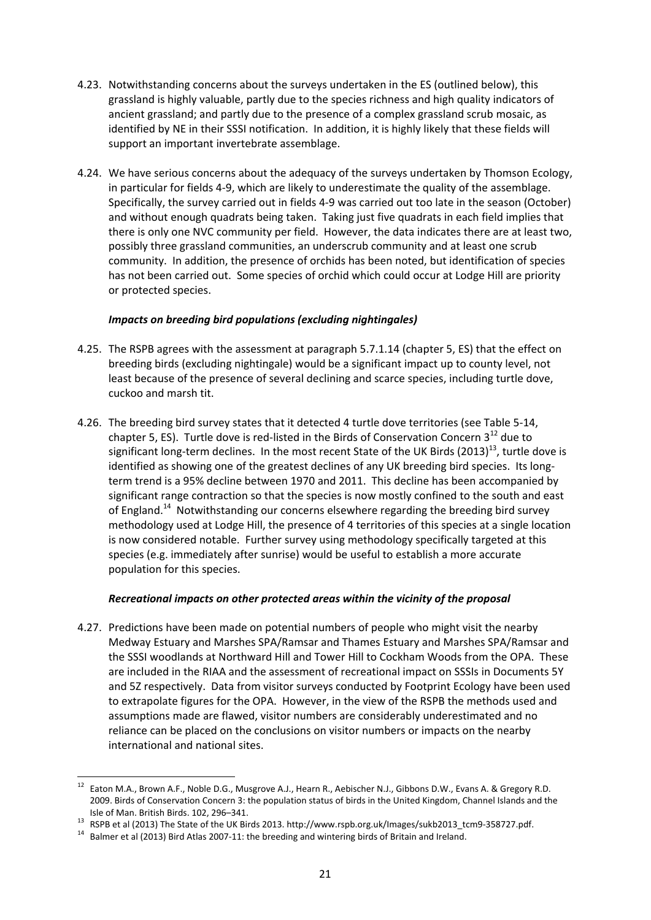- 4.23. Notwithstanding concerns about the surveys undertaken in the ES (outlined below), this grassland is highly valuable, partly due to the species richness and high quality indicators of ancient grassland; and partly due to the presence of a complex grassland scrub mosaic, as identified by NE in their SSSI notification. In addition, it is highly likely that these fields will support an important invertebrate assemblage.
- 4.24. We have serious concerns about the adequacy of the surveys undertaken by Thomson Ecology, in particular for fields 4‐9, which are likely to underestimate the quality of the assemblage. Specifically, the survey carried out in fields 4‐9 was carried out too late in the season (October) and without enough quadrats being taken. Taking just five quadrats in each field implies that there is only one NVC community per field. However, the data indicates there are at least two, possibly three grassland communities, an underscrub community and at least one scrub community. In addition, the presence of orchids has been noted, but identification of species has not been carried out. Some species of orchid which could occur at Lodge Hill are priority or protected species.

## *Impacts on breeding bird populations (excluding nightingales)*

- 4.25. The RSPB agrees with the assessment at paragraph 5.7.1.14 (chapter 5, ES) that the effect on breeding birds (excluding nightingale) would be a significant impact up to county level, not least because of the presence of several declining and scarce species, including turtle dove, cuckoo and marsh tit.
- 4.26. The breeding bird survey states that it detected 4 turtle dove territories (see Table 5‐14, chapter 5, ES). Turtle dove is red-listed in the Birds of Conservation Concern  $3^{12}$  due to significant long-term declines. In the most recent State of the UK Birds (2013)<sup>13</sup>, turtle dove is identified as showing one of the greatest declines of any UK breeding bird species. Its longterm trend is a 95% decline between 1970 and 2011. This decline has been accompanied by significant range contraction so that the species is now mostly confined to the south and east of England.<sup>14</sup> Notwithstanding our concerns elsewhere regarding the breeding bird survey methodology used at Lodge Hill, the presence of 4 territories of this species at a single location is now considered notable. Further survey using methodology specifically targeted at this species (e.g. immediately after sunrise) would be useful to establish a more accurate population for this species.

#### *Recreational impacts on other protected areas within the vicinity of the proposal*

4.27. Predictions have been made on potential numbers of people who might visit the nearby Medway Estuary and Marshes SPA/Ramsar and Thames Estuary and Marshes SPA/Ramsar and the SSSI woodlands at Northward Hill and Tower Hill to Cockham Woods from the OPA. These are included in the RIAA and the assessment of recreational impact on SSSIs in Documents 5Y and 5Z respectively. Data from visitor surveys conducted by Footprint Ecology have been used to extrapolate figures for the OPA. However, in the view of the RSPB the methods used and assumptions made are flawed, visitor numbers are considerably underestimated and no reliance can be placed on the conclusions on visitor numbers or impacts on the nearby international and national sites.

<sup>&</sup>lt;sup>12</sup> Eaton M.A., Brown A.F., Noble D.G., Musgrove A.J., Hearn R., Aebischer N.J., Gibbons D.W., Evans A. & Gregory R.D. 2009. Birds of Conservation Concern 3: the population status of birds in the United Kingdom, Channel Islands and the

Isle of Man. British Birds. 102, 296–341.<br><sup>13</sup> RSPB et al (2013) The State of the UK Birds 2013. http://www.rspb.org.uk/Images/sukb2013\_tcm9-358727.pdf.<br><sup>14</sup> Balmer et al (2013) Bird Atlas 2007-11: the breeding and winteri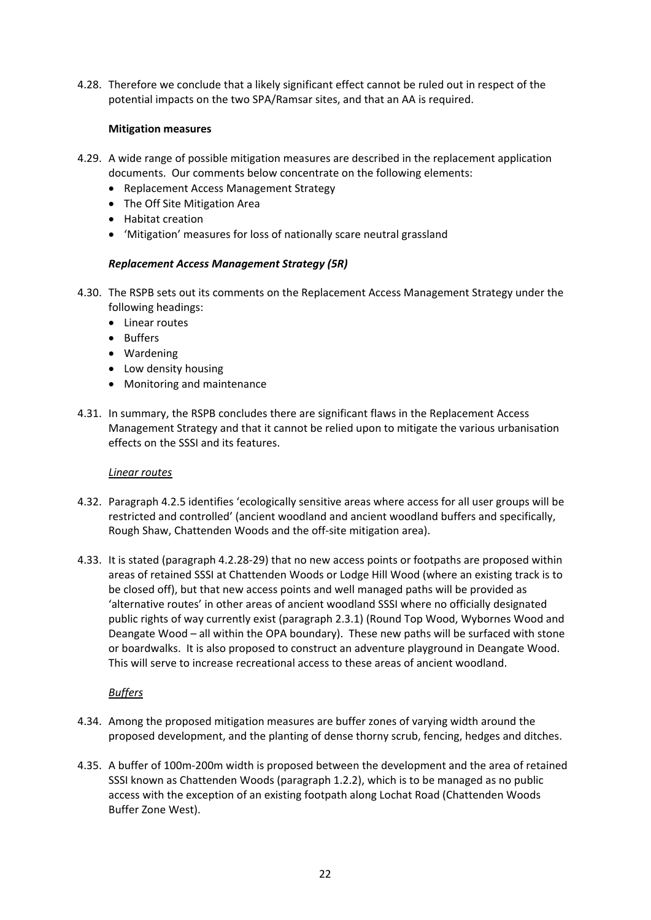4.28. Therefore we conclude that a likely significant effect cannot be ruled out in respect of the potential impacts on the two SPA/Ramsar sites, and that an AA is required.

## **Mitigation measures**

- 4.29. A wide range of possible mitigation measures are described in the replacement application documents. Our comments below concentrate on the following elements:
	- Replacement Access Management Strategy
	- The Off Site Mitigation Area
	- Habitat creation
	- 'Mitigation' measures for loss of nationally scare neutral grassland

# *Replacement Access Management Strategy (5R)*

- 4.30. The RSPB sets out its comments on the Replacement Access Management Strategy under the following headings:
	- Linear routes
	- Buffers
	- Wardening
	- Low density housing
	- Monitoring and maintenance
- 4.31. In summary, the RSPB concludes there are significant flaws in the Replacement Access Management Strategy and that it cannot be relied upon to mitigate the various urbanisation effects on the SSSI and its features.

#### *Linear routes*

- 4.32. Paragraph 4.2.5 identifies 'ecologically sensitive areas where access for all user groups will be restricted and controlled' (ancient woodland and ancient woodland buffers and specifically, Rough Shaw, Chattenden Woods and the off‐site mitigation area).
- 4.33. It is stated (paragraph 4.2.28‐29) that no new access points or footpaths are proposed within areas of retained SSSI at Chattenden Woods or Lodge Hill Wood (where an existing track is to be closed off), but that new access points and well managed paths will be provided as 'alternative routes' in other areas of ancient woodland SSSI where no officially designated public rights of way currently exist (paragraph 2.3.1) (Round Top Wood, Wybornes Wood and Deangate Wood – all within the OPA boundary). These new paths will be surfaced with stone or boardwalks. It is also proposed to construct an adventure playground in Deangate Wood. This will serve to increase recreational access to these areas of ancient woodland.

# *Buffers*

- 4.34. Among the proposed mitigation measures are buffer zones of varying width around the proposed development, and the planting of dense thorny scrub, fencing, hedges and ditches.
- 4.35. A buffer of 100m‐200m width is proposed between the development and the area of retained SSSI known as Chattenden Woods (paragraph 1.2.2), which is to be managed as no public access with the exception of an existing footpath along Lochat Road (Chattenden Woods Buffer Zone West).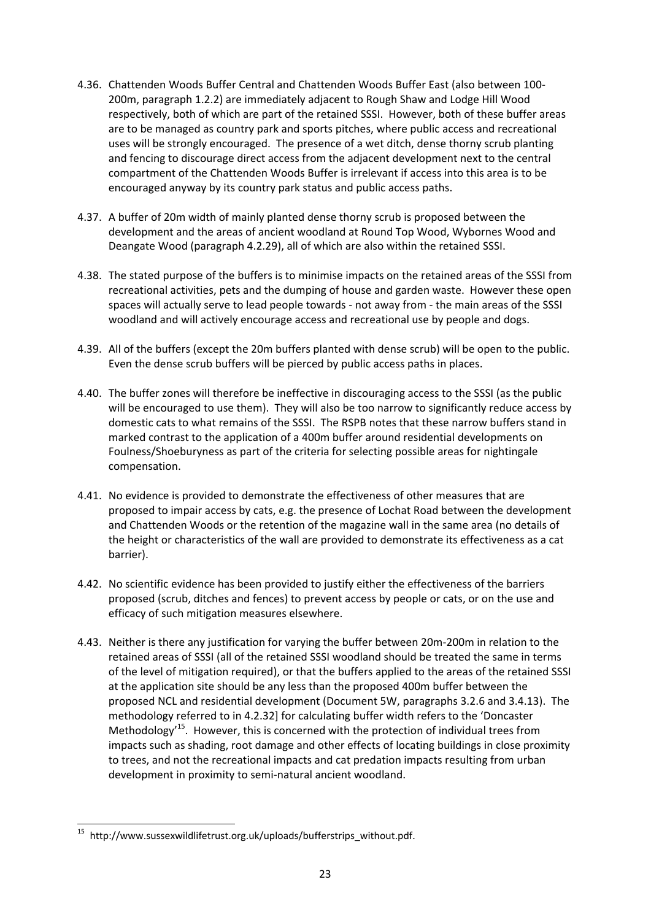- 4.36. Chattenden Woods Buffer Central and Chattenden Woods Buffer East (also between 100‐ 200m, paragraph 1.2.2) are immediately adjacent to Rough Shaw and Lodge Hill Wood respectively, both of which are part of the retained SSSI. However, both of these buffer areas are to be managed as country park and sports pitches, where public access and recreational uses will be strongly encouraged. The presence of a wet ditch, dense thorny scrub planting and fencing to discourage direct access from the adjacent development next to the central compartment of the Chattenden Woods Buffer is irrelevant if access into this area is to be encouraged anyway by its country park status and public access paths.
- 4.37. A buffer of 20m width of mainly planted dense thorny scrub is proposed between the development and the areas of ancient woodland at Round Top Wood, Wybornes Wood and Deangate Wood (paragraph 4.2.29), all of which are also within the retained SSSI.
- 4.38. The stated purpose of the buffers is to minimise impacts on the retained areas of the SSSI from recreational activities, pets and the dumping of house and garden waste. However these open spaces will actually serve to lead people towards - not away from - the main areas of the SSSI woodland and will actively encourage access and recreational use by people and dogs.
- 4.39. All of the buffers (except the 20m buffers planted with dense scrub) will be open to the public. Even the dense scrub buffers will be pierced by public access paths in places.
- 4.40. The buffer zones will therefore be ineffective in discouraging access to the SSSI (as the public will be encouraged to use them). They will also be too narrow to significantly reduce access by domestic cats to what remains of the SSSI. The RSPB notes that these narrow buffers stand in marked contrast to the application of a 400m buffer around residential developments on Foulness/Shoeburyness as part of the criteria for selecting possible areas for nightingale compensation.
- 4.41. No evidence is provided to demonstrate the effectiveness of other measures that are proposed to impair access by cats, e.g. the presence of Lochat Road between the development and Chattenden Woods or the retention of the magazine wall in the same area (no details of the height or characteristics of the wall are provided to demonstrate its effectiveness as a cat barrier).
- 4.42. No scientific evidence has been provided to justify either the effectiveness of the barriers proposed (scrub, ditches and fences) to prevent access by people or cats, or on the use and efficacy of such mitigation measures elsewhere.
- 4.43. Neither is there any justification for varying the buffer between 20m-200m in relation to the retained areas of SSSI (all of the retained SSSI woodland should be treated the same in terms of the level of mitigation required), or that the buffers applied to the areas of the retained SSSI at the application site should be any less than the proposed 400m buffer between the proposed NCL and residential development (Document 5W, paragraphs 3.2.6 and 3.4.13). The methodology referred to in 4.2.32] for calculating buffer width refers to the 'Doncaster Methodology<sup>15</sup>. However, this is concerned with the protection of individual trees from impacts such as shading, root damage and other effects of locating buildings in close proximity to trees, and not the recreational impacts and cat predation impacts resulting from urban development in proximity to semi‐natural ancient woodland.

<sup>&</sup>lt;sup>15</sup> http://www.sussexwildlifetrust.org.uk/uploads/bufferstrips\_without.pdf.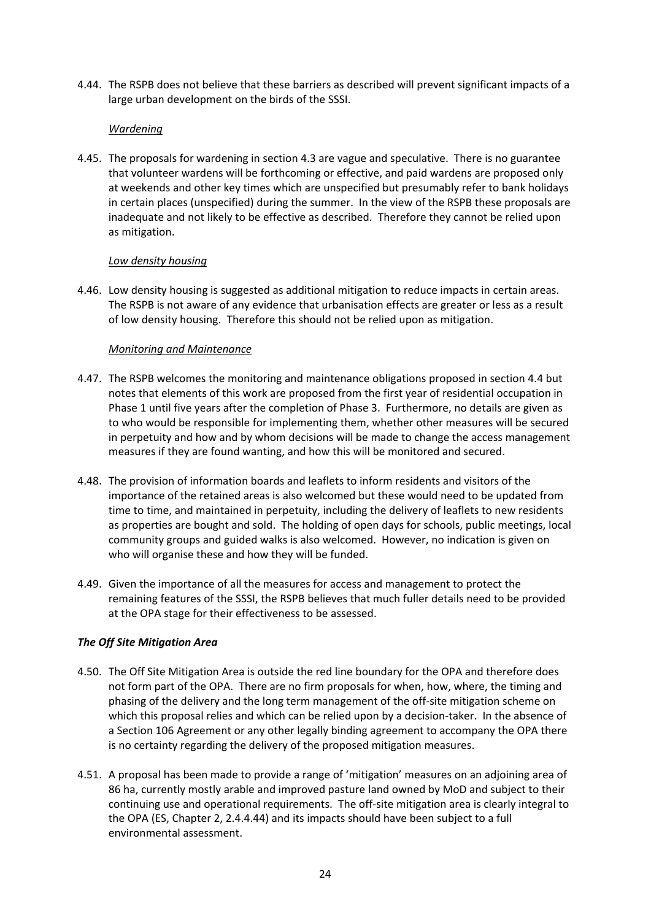4.44. The RSPB does not believe that these barriers as described will prevent significant impacts of a large urban development on the birds of the SSSI.

### *Wardening*

4.45. The proposals for wardening in section 4.3 are vague and speculative. There is no guarantee that volunteer wardens will be forthcoming or effective, and paid wardens are proposed only at weekends and other key times which are unspecified but presumably refer to bank holidays in certain places (unspecified) during the summer. In the view of the RSPB these proposals are inadequate and not likely to be effective as described. Therefore they cannot be relied upon as mitigation.

## *Low density housing*

4.46. Low density housing is suggested as additional mitigation to reduce impacts in certain areas. The RSPB is not aware of any evidence that urbanisation effects are greater or less as a result of low density housing. Therefore this should not be relied upon as mitigation.

## *Monitoring and Maintenance*

- 4.47. The RSPB welcomes the monitoring and maintenance obligations proposed in section 4.4 but notes that elements of this work are proposed from the first year of residential occupation in Phase 1 until five years after the completion of Phase 3. Furthermore, no details are given as to who would be responsible for implementing them, whether other measures will be secured in perpetuity and how and by whom decisions will be made to change the access management measures if they are found wanting, and how this will be monitored and secured.
- 4.48. The provision of information boards and leaflets to inform residents and visitors of the importance of the retained areas is also welcomed but these would need to be updated from time to time, and maintained in perpetuity, including the delivery of leaflets to new residents as properties are bought and sold. The holding of open days for schools, public meetings, local community groups and guided walks is also welcomed. However, no indication is given on who will organise these and how they will be funded.
- 4.49. Given the importance of all the measures for access and management to protect the remaining features of the SSSI, the RSPB believes that much fuller details need to be provided at the OPA stage for their effectiveness to be assessed.

# *The Off Site Mitigation Area*

- 4.50. The Off Site Mitigation Area is outside the red line boundary for the OPA and therefore does not form part of the OPA. There are no firm proposals for when, how, where, the timing and phasing of the delivery and the long term management of the off‐site mitigation scheme on which this proposal relies and which can be relied upon by a decision-taker. In the absence of a Section 106 Agreement or any other legally binding agreement to accompany the OPA there is no certainty regarding the delivery of the proposed mitigation measures.
- 4.51. A proposal has been made to provide a range of 'mitigation' measures on an adjoining area of 86 ha, currently mostly arable and improved pasture land owned by MoD and subject to their continuing use and operational requirements. The off‐site mitigation area is clearly integral to the OPA (ES, Chapter 2, 2.4.4.44) and its impacts should have been subject to a full environmental assessment.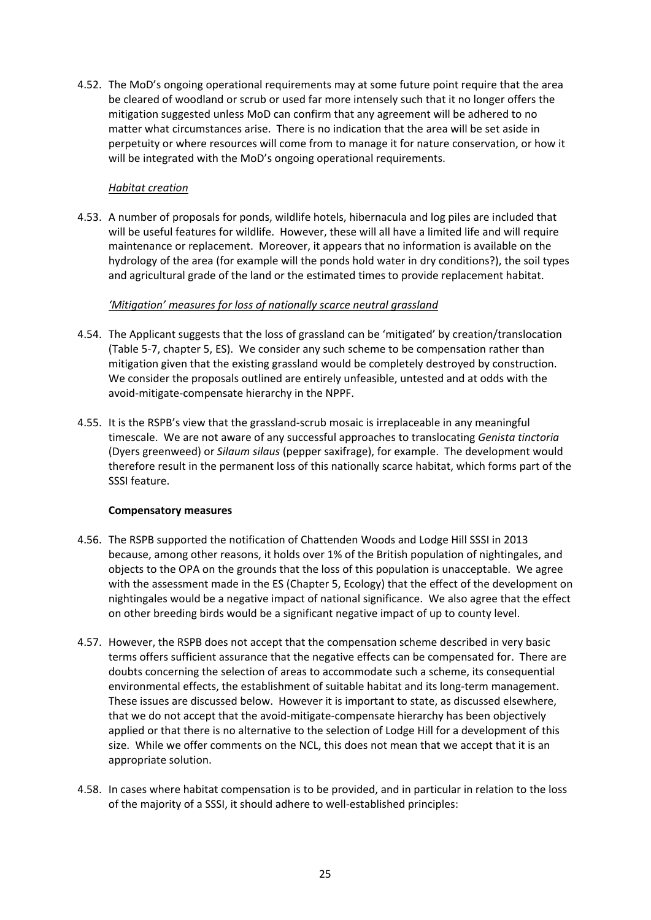4.52. The MoD's ongoing operational requirements may at some future point require that the area be cleared of woodland or scrub or used far more intensely such that it no longer offers the mitigation suggested unless MoD can confirm that any agreement will be adhered to no matter what circumstances arise. There is no indication that the area will be set aside in perpetuity or where resources will come from to manage it for nature conservation, or how it will be integrated with the MoD's ongoing operational requirements.

### *Habitat creation*

4.53. A number of proposals for ponds, wildlife hotels, hibernacula and log piles are included that will be useful features for wildlife. However, these will all have a limited life and will require maintenance or replacement. Moreover, it appears that no information is available on the hydrology of the area (for example will the ponds hold water in dry conditions?), the soil types and agricultural grade of the land or the estimated times to provide replacement habitat.

## *'Mitigation' measures for loss of nationally scarce neutral grassland*

- 4.54. The Applicant suggests that the loss of grassland can be 'mitigated' by creation/translocation (Table 5‐7, chapter 5, ES). We consider any such scheme to be compensation rather than mitigation given that the existing grassland would be completely destroyed by construction. We consider the proposals outlined are entirely unfeasible, untested and at odds with the avoid‐mitigate‐compensate hierarchy in the NPPF.
- 4.55. It is the RSPB's view that the grassland‐scrub mosaic is irreplaceable in any meaningful timescale. We are not aware of any successful approaches to translocating *Genista tinctoria* (Dyers greenweed) or *Silaum silaus* (pepper saxifrage), for example. The development would therefore result in the permanent loss of this nationally scarce habitat, which forms part of the SSSI feature.

# **Compensatory measures**

- 4.56. The RSPB supported the notification of Chattenden Woods and Lodge Hill SSSI in 2013 because, among other reasons, it holds over 1% of the British population of nightingales, and objects to the OPA on the grounds that the loss of this population is unacceptable. We agree with the assessment made in the ES (Chapter 5, Ecology) that the effect of the development on nightingales would be a negative impact of national significance. We also agree that the effect on other breeding birds would be a significant negative impact of up to county level.
- 4.57. However, the RSPB does not accept that the compensation scheme described in very basic terms offers sufficient assurance that the negative effects can be compensated for. There are doubts concerning the selection of areas to accommodate such a scheme, its consequential environmental effects, the establishment of suitable habitat and its long-term management. These issues are discussed below. However it is important to state, as discussed elsewhere, that we do not accept that the avoid‐mitigate‐compensate hierarchy has been objectively applied or that there is no alternative to the selection of Lodge Hill for a development of this size. While we offer comments on the NCL, this does not mean that we accept that it is an appropriate solution.
- 4.58. In cases where habitat compensation is to be provided, and in particular in relation to the loss of the majority of a SSSI, it should adhere to well‐established principles: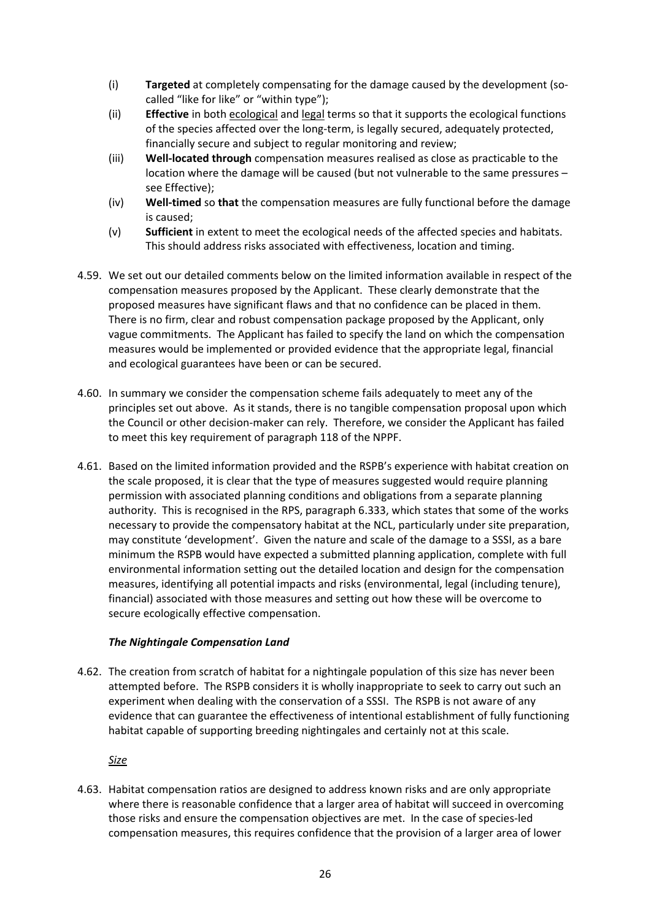- (i) **Targeted** at completely compensating for the damage caused by the development (so‐ called "like for like" or "within type");
- (ii) **Effective** in both ecological and legal terms so that it supports the ecological functions of the species affected over the long‐term, is legally secured, adequately protected, financially secure and subject to regular monitoring and review;
- (iii) **Well‐located through** compensation measures realised as close as practicable to the location where the damage will be caused (but not vulnerable to the same pressures – see Effective);
- (iv) **Well‐timed** so **that** the compensation measures are fully functional before the damage is caused;
- (v) **Sufficient** in extent to meet the ecological needs of the affected species and habitats. This should address risks associated with effectiveness, location and timing.
- 4.59. We set out our detailed comments below on the limited information available in respect of the compensation measures proposed by the Applicant. These clearly demonstrate that the proposed measures have significant flaws and that no confidence can be placed in them. There is no firm, clear and robust compensation package proposed by the Applicant, only vague commitments. The Applicant has failed to specify the land on which the compensation measures would be implemented or provided evidence that the appropriate legal, financial and ecological guarantees have been or can be secured.
- 4.60. In summary we consider the compensation scheme fails adequately to meet any of the principles set out above. As it stands, there is no tangible compensation proposal upon which the Council or other decision‐maker can rely. Therefore, we consider the Applicant has failed to meet this key requirement of paragraph 118 of the NPPF.
- 4.61. Based on the limited information provided and the RSPB's experience with habitat creation on the scale proposed, it is clear that the type of measures suggested would require planning permission with associated planning conditions and obligations from a separate planning authority. This is recognised in the RPS, paragraph 6.333, which states that some of the works necessary to provide the compensatory habitat at the NCL, particularly under site preparation, may constitute 'development'. Given the nature and scale of the damage to a SSSI, as a bare minimum the RSPB would have expected a submitted planning application, complete with full environmental information setting out the detailed location and design for the compensation measures, identifying all potential impacts and risks (environmental, legal (including tenure), financial) associated with those measures and setting out how these will be overcome to secure ecologically effective compensation.

#### *The Nightingale Compensation Land*

4.62. The creation from scratch of habitat for a nightingale population of this size has never been attempted before. The RSPB considers it is wholly inappropriate to seek to carry out such an experiment when dealing with the conservation of a SSSI. The RSPB is not aware of any evidence that can guarantee the effectiveness of intentional establishment of fully functioning habitat capable of supporting breeding nightingales and certainly not at this scale.

*Size*

4.63. Habitat compensation ratios are designed to address known risks and are only appropriate where there is reasonable confidence that a larger area of habitat will succeed in overcoming those risks and ensure the compensation objectives are met. In the case of species‐led compensation measures, this requires confidence that the provision of a larger area of lower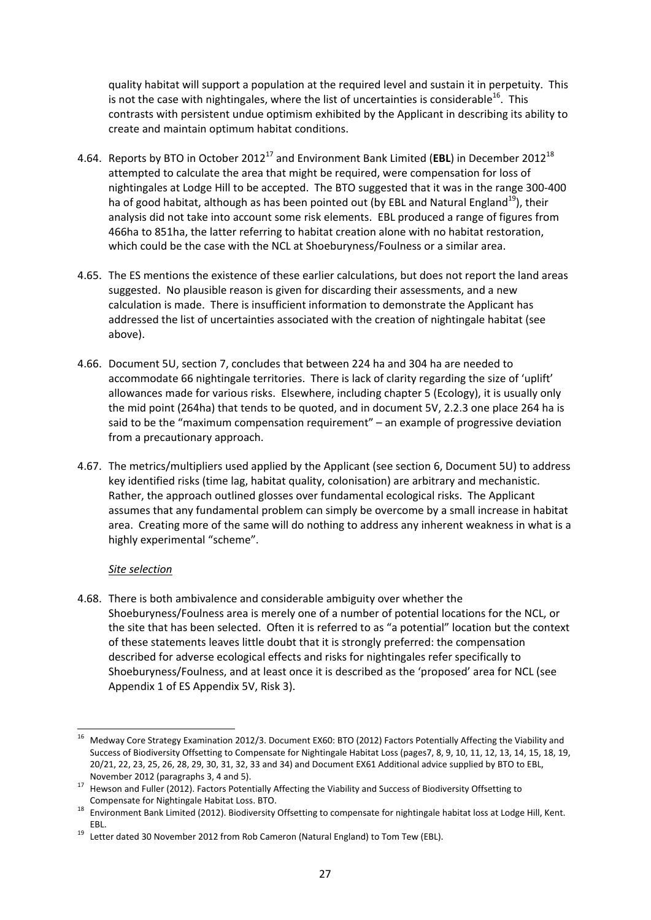quality habitat will support a population at the required level and sustain it in perpetuity. This is not the case with nightingales, where the list of uncertainties is considerable $^{16}$ . This contrasts with persistent undue optimism exhibited by the Applicant in describing its ability to create and maintain optimum habitat conditions.

- 4.64. Reports by BTO in October 2012<sup>17</sup> and Environment Bank Limited (**EBL**) in December 2012<sup>18</sup> attempted to calculate the area that might be required, were compensation for loss of nightingales at Lodge Hill to be accepted. The BTO suggested that it was in the range 300‐400 ha of good habitat, although as has been pointed out (by EBL and Natural England<sup>19</sup>), their analysis did not take into account some risk elements. EBL produced a range of figures from 466ha to 851ha, the latter referring to habitat creation alone with no habitat restoration, which could be the case with the NCL at Shoeburyness/Foulness or a similar area.
- 4.65. The ES mentions the existence of these earlier calculations, but does not report the land areas suggested. No plausible reason is given for discarding their assessments, and a new calculation is made. There is insufficient information to demonstrate the Applicant has addressed the list of uncertainties associated with the creation of nightingale habitat (see above).
- 4.66. Document 5U, section 7, concludes that between 224 ha and 304 ha are needed to accommodate 66 nightingale territories. There is lack of clarity regarding the size of 'uplift' allowances made for various risks. Elsewhere, including chapter 5 (Ecology), it is usually only the mid point (264ha) that tends to be quoted, and in document 5V, 2.2.3 one place 264 ha is said to be the "maximum compensation requirement" – an example of progressive deviation from a precautionary approach.
- 4.67. The metrics/multipliers used applied by the Applicant (see section 6, Document 5U) to address key identified risks (time lag, habitat quality, colonisation) are arbitrary and mechanistic. Rather, the approach outlined glosses over fundamental ecological risks. The Applicant assumes that any fundamental problem can simply be overcome by a small increase in habitat area. Creating more of the same will do nothing to address any inherent weakness in what is a highly experimental "scheme".

# *Site selection*

4.68. There is both ambivalence and considerable ambiguity over whether the Shoeburyness/Foulness area is merely one of a number of potential locations for the NCL, or the site that has been selected. Often it is referred to as "a potential" location but the context of these statements leaves little doubt that it is strongly preferred: the compensation described for adverse ecological effects and risks for nightingales refer specifically to Shoeburyness/Foulness, and at least once it is described as the 'proposed' area for NCL (see Appendix 1 of ES Appendix 5V, Risk 3).

<sup>-</sup><sup>16</sup> Medway Core Strategy Examination 2012/3. Document EX60: BTO (2012) Factors Potentially Affecting the Viability and Success of Biodiversity Offsetting to Compensate for Nightingale Habitat Loss (pages7, 8, 9, 10, 11, 12, 13, 14, 15, 18, 19, 20/21, 22, 23, 25, 26, 28, 29, 30, 31, 32, 33 and 34) and Document EX61 Additional advice supplied by BTO to EBL,

<sup>&</sup>lt;sup>17</sup> Hewson and Fuller (2012). Factors Potentially Affecting the Viability and Success of Biodiversity Offsetting to

Compensate for Nightingale Habitat Loss. BTO.<br><sup>18</sup> Environment Bank Limited (2012). Biodiversity Offsetting to compensate for nightingale habitat loss at Lodge Hill, Kent.

EBL. 19 Letter dated 30 November 2012 from Rob Cameron (Natural England) to Tom Tew (EBL).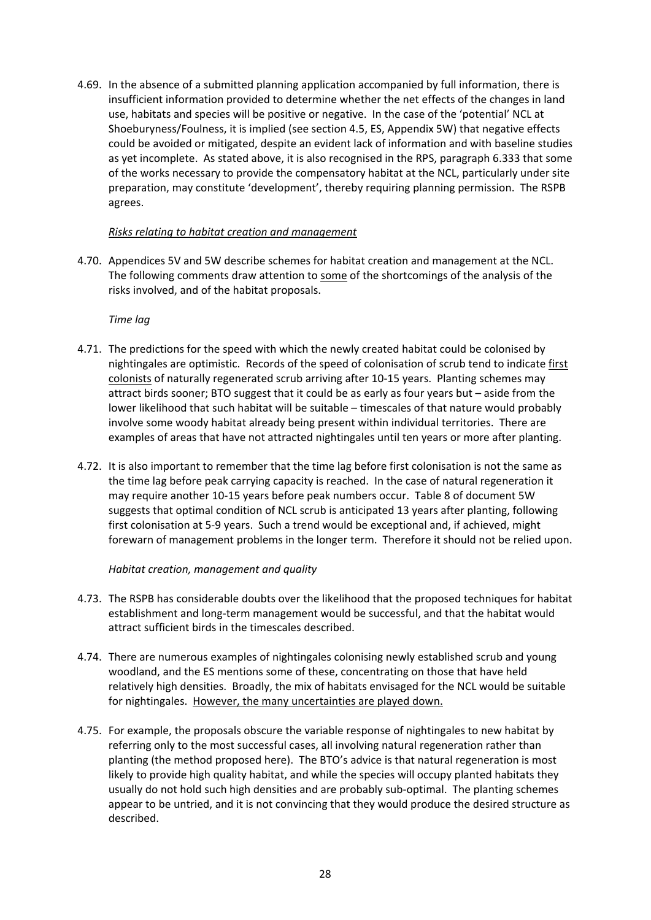4.69. In the absence of a submitted planning application accompanied by full information, there is insufficient information provided to determine whether the net effects of the changes in land use, habitats and species will be positive or negative. In the case of the 'potential' NCL at Shoeburyness/Foulness, it is implied (see section 4.5, ES, Appendix 5W) that negative effects could be avoided or mitigated, despite an evident lack of information and with baseline studies as yet incomplete. As stated above, it is also recognised in the RPS, paragraph 6.333 that some of the works necessary to provide the compensatory habitat at the NCL, particularly under site preparation, may constitute 'development', thereby requiring planning permission. The RSPB agrees.

## *Risks relating to habitat creation and management*

4.70. Appendices 5V and 5W describe schemes for habitat creation and management at the NCL. The following comments draw attention to some of the shortcomings of the analysis of the risks involved, and of the habitat proposals.

# *Time lag*

- 4.71. The predictions for the speed with which the newly created habitat could be colonised by nightingales are optimistic. Records of the speed of colonisation of scrub tend to indicate first colonists of naturally regenerated scrub arriving after 10‐15 years. Planting schemes may attract birds sooner; BTO suggest that it could be as early as four years but – aside from the lower likelihood that such habitat will be suitable – timescales of that nature would probably involve some woody habitat already being present within individual territories. There are examples of areas that have not attracted nightingales until ten years or more after planting.
- 4.72. It is also important to remember that the time lag before first colonisation is not the same as the time lag before peak carrying capacity is reached. In the case of natural regeneration it may require another 10‐15 years before peak numbers occur. Table 8 of document 5W suggests that optimal condition of NCL scrub is anticipated 13 years after planting, following first colonisation at 5‐9 years. Such a trend would be exceptional and, if achieved, might forewarn of management problems in the longer term. Therefore it should not be relied upon.

# *Habitat creation, management and quality*

- 4.73. The RSPB has considerable doubts over the likelihood that the proposed techniques for habitat establishment and long‐term management would be successful, and that the habitat would attract sufficient birds in the timescales described.
- 4.74. There are numerous examples of nightingales colonising newly established scrub and young woodland, and the ES mentions some of these, concentrating on those that have held relatively high densities. Broadly, the mix of habitats envisaged for the NCL would be suitable for nightingales. However, the many uncertainties are played down.
- 4.75. For example, the proposals obscure the variable response of nightingales to new habitat by referring only to the most successful cases, all involving natural regeneration rather than planting (the method proposed here). The BTO's advice is that natural regeneration is most likely to provide high quality habitat, and while the species will occupy planted habitats they usually do not hold such high densities and are probably sub-optimal. The planting schemes appear to be untried, and it is not convincing that they would produce the desired structure as described.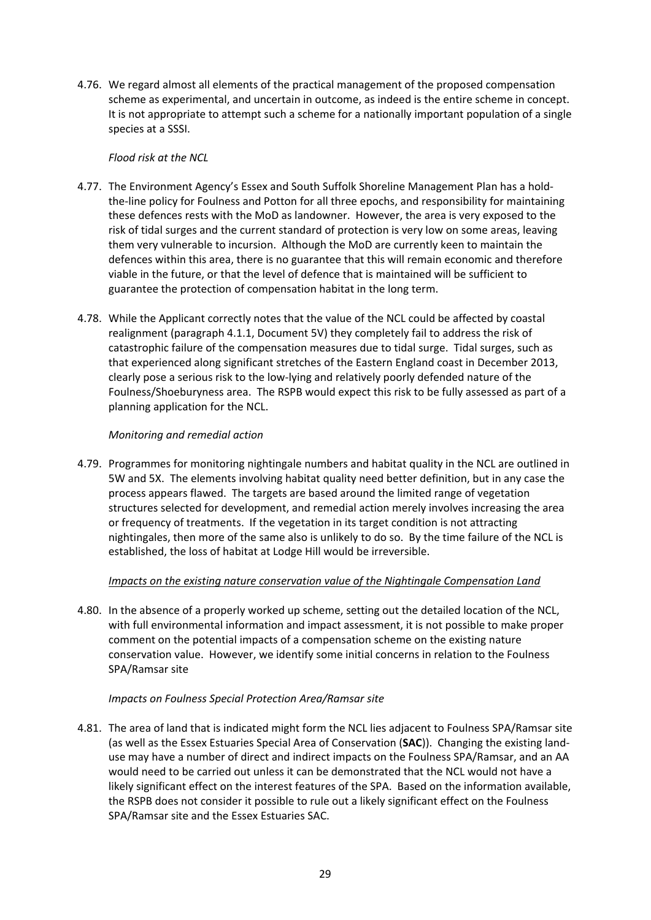4.76. We regard almost all elements of the practical management of the proposed compensation scheme as experimental, and uncertain in outcome, as indeed is the entire scheme in concept. It is not appropriate to attempt such a scheme for a nationally important population of a single species at a SSSI.

## *Flood risk at the NCL*

- 4.77. The Environment Agency's Essex and South Suffolk Shoreline Management Plan has a hold‐ the-line policy for Foulness and Potton for all three epochs, and responsibility for maintaining these defences rests with the MoD as landowner. However, the area is very exposed to the risk of tidal surges and the current standard of protection is very low on some areas, leaving them very vulnerable to incursion. Although the MoD are currently keen to maintain the defences within this area, there is no guarantee that this will remain economic and therefore viable in the future, or that the level of defence that is maintained will be sufficient to guarantee the protection of compensation habitat in the long term.
- 4.78. While the Applicant correctly notes that the value of the NCL could be affected by coastal realignment (paragraph 4.1.1, Document 5V) they completely fail to address the risk of catastrophic failure of the compensation measures due to tidal surge. Tidal surges, such as that experienced along significant stretches of the Eastern England coast in December 2013, clearly pose a serious risk to the low‐lying and relatively poorly defended nature of the Foulness/Shoeburyness area. The RSPB would expect this risk to be fully assessed as part of a planning application for the NCL.

## *Monitoring and remedial action*

4.79. Programmes for monitoring nightingale numbers and habitat quality in the NCL are outlined in 5W and 5X. The elements involving habitat quality need better definition, but in any case the process appears flawed. The targets are based around the limited range of vegetation structures selected for development, and remedial action merely involves increasing the area or frequency of treatments. If the vegetation in its target condition is not attracting nightingales, then more of the same also is unlikely to do so. By the time failure of the NCL is established, the loss of habitat at Lodge Hill would be irreversible.

# *Impacts on the existing nature conservation value of the Nightingale Compensation Land*

4.80. In the absence of a properly worked up scheme, setting out the detailed location of the NCL, with full environmental information and impact assessment, it is not possible to make proper comment on the potential impacts of a compensation scheme on the existing nature conservation value. However, we identify some initial concerns in relation to the Foulness SPA/Ramsar site

#### *Impacts on Foulness Special Protection Area/Ramsar site*

4.81. The area of land that is indicated might form the NCL lies adjacent to Foulness SPA/Ramsar site (as well as the Essex Estuaries Special Area of Conservation (**SAC**)). Changing the existing land‐ use may have a number of direct and indirect impacts on the Foulness SPA/Ramsar, and an AA would need to be carried out unless it can be demonstrated that the NCL would not have a likely significant effect on the interest features of the SPA. Based on the information available, the RSPB does not consider it possible to rule out a likely significant effect on the Foulness SPA/Ramsar site and the Essex Estuaries SAC.